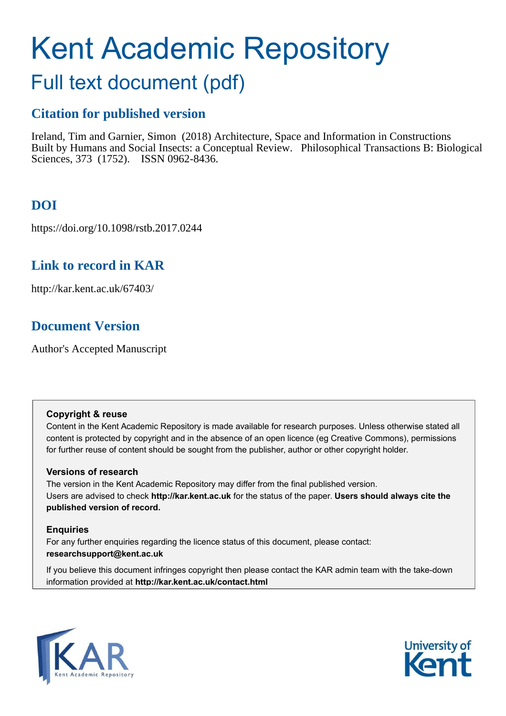# Kent Academic Repository

# Full text document (pdf)

# **Citation for published version**

Ireland, Tim and Garnier, Simon (2018) Architecture, Space and Information in Constructions Built by Humans and Social Insects: a Conceptual Review. Philosophical Transactions B: Biological Sciences, 373 (1752). ISSN 0962-8436.

# **DOI**

https://doi.org/10.1098/rstb.2017.0244

# **Link to record in KAR**

http://kar.kent.ac.uk/67403/

# **Document Version**

Author's Accepted Manuscript

#### **Copyright & reuse**

Content in the Kent Academic Repository is made available for research purposes. Unless otherwise stated all content is protected by copyright and in the absence of an open licence (eg Creative Commons), permissions for further reuse of content should be sought from the publisher, author or other copyright holder.

#### **Versions of research**

The version in the Kent Academic Repository may differ from the final published version. Users are advised to check **http://kar.kent.ac.uk** for the status of the paper. **Users should always cite the published version of record.**

#### **Enquiries**

For any further enquiries regarding the licence status of this document, please contact: **researchsupport@kent.ac.uk**

If you believe this document infringes copyright then please contact the KAR admin team with the take-down information provided at **http://kar.kent.ac.uk/contact.html**



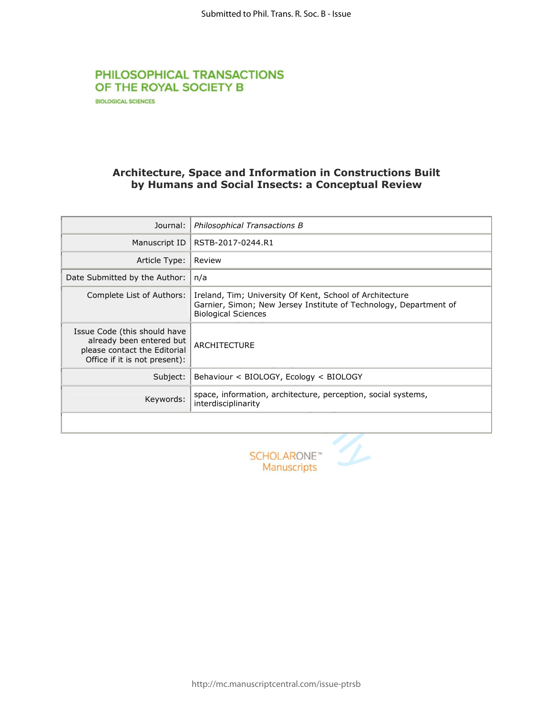# PHILOSOPHICAL TRANSACTIONS OF THE ROYAL SOCIETY B

**BIOLOGICAL SCIENCES** 

#### Architecture, Space and Information in Constructions Built by Humans and Social Insects: a Conceptual Review

| Journal:                                                                                                                  | Philosophical Transactions B                                                                                                                                |
|---------------------------------------------------------------------------------------------------------------------------|-------------------------------------------------------------------------------------------------------------------------------------------------------------|
| Manuscript ID                                                                                                             | RSTB-2017-0244.R1                                                                                                                                           |
| Article Type:                                                                                                             | Review                                                                                                                                                      |
| Date Submitted by the Author:                                                                                             | n/a                                                                                                                                                         |
| Complete List of Authors:                                                                                                 | Ireland, Tim; University Of Kent, School of Architecture<br>Garnier, Simon; New Jersey Institute of Technology, Department of<br><b>Biological Sciences</b> |
| Issue Code (this should have<br>already been entered but<br>please contact the Editorial<br>Office if it is not present): | <b>ARCHITECTURE</b>                                                                                                                                         |
| Subject:                                                                                                                  | Behaviour < BIOLOGY, Ecology < BIOLOGY                                                                                                                      |
| space, information, architecture, perception, social systems,<br>Keywords:<br>interdisciplinarity                         |                                                                                                                                                             |
|                                                                                                                           |                                                                                                                                                             |
|                                                                                                                           | <b>SCHOLARONE™</b><br><b>Manuscripts</b>                                                                                                                    |



http://mc.manuscriptcentral.com/issue-ptrsb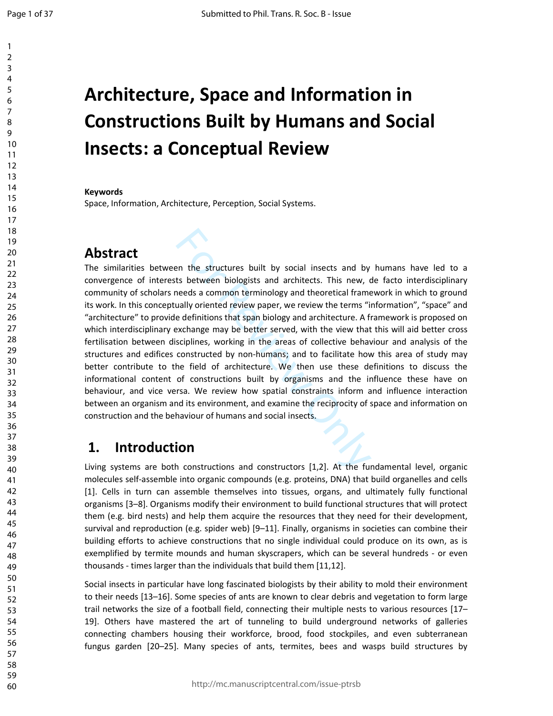# **Architecture, Space and Information in Constructions Built by Humans and Social Insects: a Conceptual Review**

#### **Keywords**

Space, Information, Architecture, Perception, Social Systems.

#### **Abstract**

en the structures built by social insects and by<br>ts between biologists and architects. This new, c<br>needs a common terminology and theoretical frame<br>ually oriented review paper, we review the terms "in<br>e definitions that sp The similarities between the structures built by social insects and by humans have led to a convergence of interests between biologists and architects. This new, de facto interdisciplinary community of scholars needs a common terminology and theoretical framework in which to ground its work. In this conceptually oriented review paper, we review the terms "information", "space" and "architecture" to provide definitions that span biology and architecture. A framework is proposed on which interdisciplinary exchange may be better served, with the view that this will aid better cross fertilisation between disciplines, working in the areas of collective behaviour and analysis of the structures and edifices constructed by non-humans; and to facilitate how this area of study may better contribute to the field of architecture. We then use these definitions to discuss the informational content of constructions built by organisms and the influence these have on behaviour, and vice versa. We review how spatial constraints inform and influence interaction between an organism and its environment, and examine the reciprocity of space and information on construction and the behaviour of humans and social insects.

#### **1. Introduction**

Living systems are both constructions and constructors [1,2]. At the fundamental level, organic molecules self-assemble into organic compounds (e.g. proteins, DNA) that build organelles and cells [1]. Cells in turn can assemble themselves into tissues, organs, and ultimately fully functional organisms [3–8]. Organisms modify their environment to build functional structures that will protect them (e.g. bird nests) and help them acquire the resources that they need for their development, survival and reproduction (e.g. spider web) [9–11]. Finally, organisms in societies can combine their building efforts to achieve constructions that no single individual could produce on its own, as is exemplified by termite mounds and human skyscrapers, which can be several hundreds - or even thousands - times larger than the individuals that build them [11,12].

Social insects in particular have long fascinated biologists by their ability to mold their environment to their needs [13–16]. Some species of ants are known to clear debris and vegetation to form large trail networks the size of a football field, connecting their multiple nests to various resources [17– 19]. Others have mastered the art of tunneling to build underground networks of galleries connecting chambers housing their workforce, brood, food stockpiles, and even subterranean fungus garden [20–25]. Many species of ants, termites, bees and wasps build structures by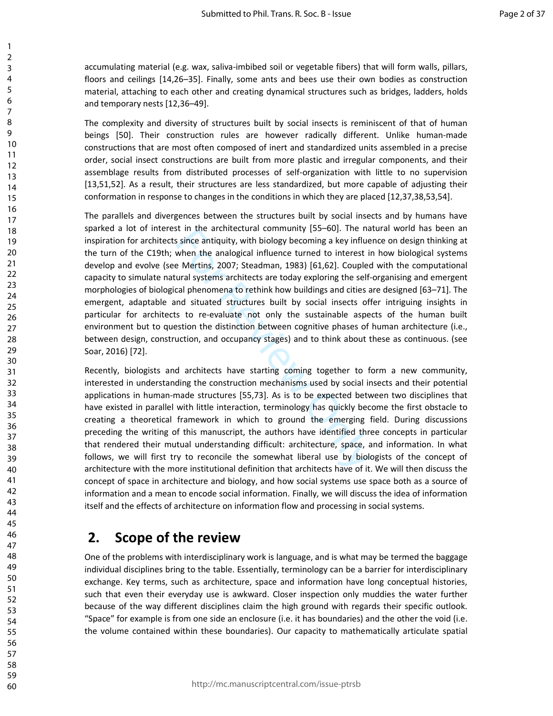accumulating material (e.g. wax, saliva-imbibed soil or vegetable fibers) that will form walls, pillars, floors and ceilings [14,26–35]. Finally, some ants and bees use their own bodies as construction material, attaching to each other and creating dynamical structures such as bridges, ladders, holds and temporary nests [12,36–49].

The complexity and diversity of structures built by social insects is reminiscent of that of human beings [50]. Their construction rules are however radically different. Unlike human-made constructions that are most often composed of inert and standardized units assembled in a precise order, social insect constructions are built from more plastic and irregular components, and their assemblage results from distributed processes of self-organization with little to no supervision [13,51,52]. As a result, their structures are less standardized, but more capable of adjusting their conformation in response to changes in the conditions in which they are placed [12,37,38,53,54].

Is the in the architectural community [35-00]. The has since antiquity, with biology becoming a key influe when the analogical influence turned to interest in Metal phenomena to rethink how buildings and cities and situate The parallels and divergences between the structures built by social insects and by humans have sparked a lot of interest in the architectural community [55–60]. The natural world has been an inspiration for architects since antiquity, with biology becoming a key influence on design thinking at the turn of the C19th; when the analogical influence turned to interest in how biological systems develop and evolve (see Mertins, 2007; Steadman, 1983) [61,62]. Coupled with the computational capacity to simulate natural systems architects are today exploring the self-organising and emergent morphologies of biological phenomena to rethink how buildings and cities are designed [63–71]. The emergent, adaptable and situated structures built by social insects offer intriguing insights in particular for architects to re-evaluate not only the sustainable aspects of the human built environment but to question the distinction between cognitive phases of human architecture (i.e., between design, construction, and occupancy stages) and to think about these as continuous. (see Soar, 2016) [72].

Recently, biologists and architects have starting coming together to form a new community, interested in understanding the construction mechanisms used by social insects and their potential applications in human-made structures [55,73]. As is to be expected between two disciplines that have existed in parallel with little interaction, terminology has quickly become the first obstacle to creating a theoretical framework in which to ground the emerging field. During discussions preceding the writing of this manuscript, the authors have identified three concepts in particular that rendered their mutual understanding difficult: architecture, space, and information. In what follows, we will first try to reconcile the somewhat liberal use by biologists of the concept of architecture with the more institutional definition that architects have of it. We will then discuss the concept of space in architecture and biology, and how social systems use space both as a source of information and a mean to encode social information. Finally, we will discuss the idea of information itself and the effects of architecture on information flow and processing in social systems.

## **2. Scope of the review**

One of the problems with interdisciplinary work is language, and is what may be termed the baggage individual disciplines bring to the table. Essentially, terminology can be a barrier for interdisciplinary exchange. Key terms, such as architecture, space and information have long conceptual histories, such that even their everyday use is awkward. Closer inspection only muddies the water further because of the way different disciplines claim the high ground with regards their specific outlook. "Space" for example is from one side an enclosure (i.e. it has boundaries) and the other the void (i.e. the volume contained within these boundaries). Our capacity to mathematically articulate spatial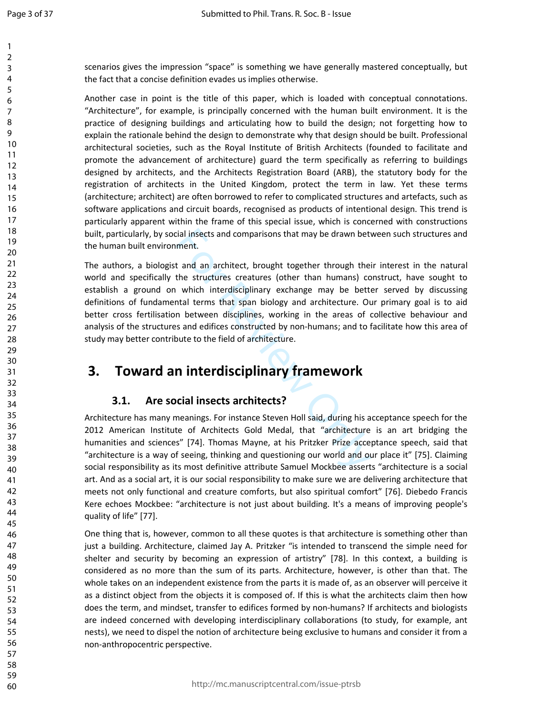60

scenarios gives the impression "space" is something we have generally mastered conceptually, but the fact that a concise definition evades us implies otherwise.

Another case in point is the title of this paper, which is loaded with conceptual connotations. "Architecture", for example, is principally concerned with the human built environment. It is the practice of designing buildings and articulating how to build the design; not forgetting how to explain the rationale behind the design to demonstrate why that design should be built. Professional architectural societies, such as the Royal Institute of British Architects (founded to facilitate and promote the advancement of architecture) guard the term specifically as referring to buildings designed by architects, and the Architects Registration Board (ARB), the statutory body for the registration of architects in the United Kingdom, protect the term in law. Yet these terms (architecture; architect) are often borrowed to refer to complicated structures and artefacts, such as software applications and circuit boards, recognised as products of intentional design. This trend is particularly apparent within the frame of this special issue, which is concerned with constructions built, particularly, by social insects and comparisons that may be drawn between such structures and the human built environment.

ial insects and comparisons that may be drawn bet<br>
ment.<br>
t and an architect, brought together through their<br>
the structures creatures (other than humans) co<br>
which interdisciplinary exchange may be bett<br>
thal terms that s The authors, a biologist and an architect, brought together through their interest in the natural world and specifically the structures creatures (other than humans) construct, have sought to establish a ground on which interdisciplinary exchange may be better served by discussing definitions of fundamental terms that span biology and architecture. Our primary goal is to aid better cross fertilisation between disciplines, working in the areas of collective behaviour and analysis of the structures and edifices constructed by non-humans; and to facilitate how this area of study may better contribute to the field of architecture.

# **3. Toward an interdisciplinary framework**

#### **3.1. Are social insects architects?**

Architecture has many meanings. For instance Steven Holl said, during his acceptance speech for the 2012 American Institute of Architects Gold Medal, that "architecture is an art bridging the humanities and sciences" [74]. Thomas Mayne, at his Pritzker Prize acceptance speech, said that "architecture is a way of seeing, thinking and questioning our world and our place it" [75]. Claiming social responsibility as its most definitive attribute Samuel Mockbee asserts "architecture is a social art. And as a social art, it is our social responsibility to make sure we are delivering architecture that meets not only functional and creature comforts, but also spiritual comfort" [76]. Diebedo Francis Kere echoes Mockbee: "architecture is not just about building. It's a means of improving people's quality of life" [77].

One thing that is, however, common to all these quotes is that architecture is something other than just a building. Architecture, claimed Jay A. Pritzker "is intended to transcend the simple need for shelter and security by becoming an expression of artistry" [78]. In this context, a building is considered as no more than the sum of its parts. Architecture, however, is other than that. The whole takes on an independent existence from the parts it is made of, as an observer will perceive it as a distinct object from the objects it is composed of. If this is what the architects claim then how does the term, and mindset, transfer to edifices formed by non-humans? If architects and biologists are indeed concerned with developing interdisciplinary collaborations (to study, for example, ant nests), we need to dispel the notion of architecture being exclusive to humans and consider it from a non-anthropocentric perspective.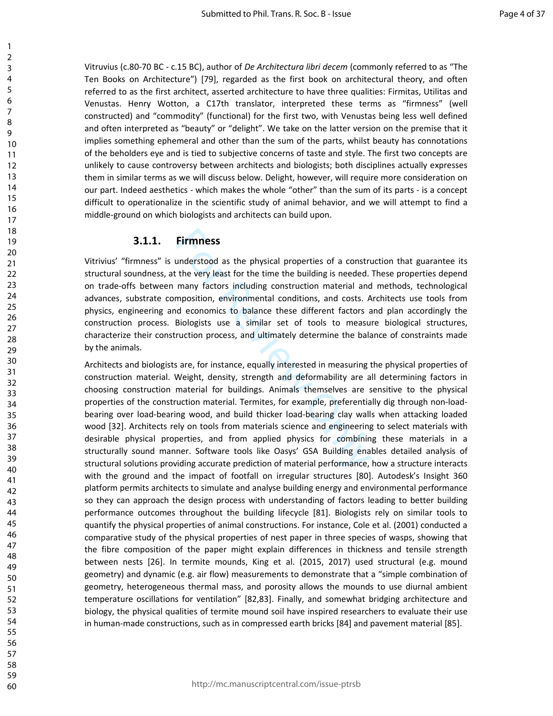Vitruvius (c.80-70 BC - c.15 BC), author of *De Architectura libri decem* (commonly referred to as "The Ten Books on Architecture") [79], regarded as the first book on architectural theory, and often referred to as the first architect, asserted architecture to have three qualities: Firmitas, Utilitas and Venustas. Henry Wotton, a C17th translator, interpreted these terms as "firmness" (well constructed) and "commodity" (functional) for the first two, with Venustas being less well defined and often interpreted as "beauty" or "delight". We take on the latter version on the premise that it implies something ephemeral and other than the sum of the parts, whilst beauty has connotations of the beholders eye and is tied to subjective concerns of taste and style. The first two concepts are unlikely to cause controversy between architects and biologists; both disciplines actually expresses them in similar terms as we will discuss below. Delight, however, will require more consideration on our part. Indeed aesthetics - which makes the whole "other" than the sum of its parts - is a concept difficult to operationalize in the scientific study of animal behavior, and we will attempt to find a middle-ground on which biologists and architects can build upon.

#### **3.1.1. Firmness**

Vitrivius' "firmness" is understood as the physical properties of a construction that guarantee its structural soundness, at the very least for the time the building is needed. These properties depend on trade-offs between many factors including construction material and methods, technological advances, substrate composition, environmental conditions, and costs. Architects use tools from physics, engineering and economics to balance these different factors and plan accordingly the construction process. Biologists use a similar set of tools to measure biological structures, characterize their construction process, and ultimately determine the balance of constraints made by the animals.

**Firmness**<br>
understood as the physical properties of a constructive very least for the time the building is needed.<br>
many factors including construction material and<br>
mposition, environmental conditions, and costs. A<br>
deco Architects and biologists are, for instance, equally interested in measuring the physical properties of construction material. Weight, density, strength and deformability are all determining factors in choosing construction material for buildings. Animals themselves are sensitive to the physical properties of the construction material. Termites, for example, preferentially dig through non-loadbearing over load-bearing wood, and build thicker load-bearing clay walls when attacking loaded wood [32]. Architects rely on tools from materials science and engineering to select materials with desirable physical properties, and from applied physics for combining these materials in a structurally sound manner. Software tools like Oasys' GSA Building enables detailed analysis of structural solutions providing accurate prediction of material performance, how a structure interacts with the ground and the impact of footfall on irregular structures [80]. Autodesk's Insight 360 platform permits architects to simulate and analyse building energy and environmental performance so they can approach the design process with understanding of factors leading to better building performance outcomes throughout the building lifecycle [81]. Biologists rely on similar tools to quantify the physical properties of animal constructions. For instance, Cole et al. (2001) conducted a comparative study of the physical properties of nest paper in three species of wasps, showing that the fibre composition of the paper might explain differences in thickness and tensile strength between nests [26]. In termite mounds, King et al. (2015, 2017) used structural (e.g. mound geometry) and dynamic (e.g. air flow) measurements to demonstrate that a "simple combination of geometry, heterogeneous thermal mass, and porosity allows the mounds to use diurnal ambient temperature oscillations for ventilation" [82,83]. Finally, and somewhat bridging architecture and biology, the physical qualities of termite mound soil have inspired researchers to evaluate their use in human-made constructions, such as in compressed earth bricks [84] and pavement material [85].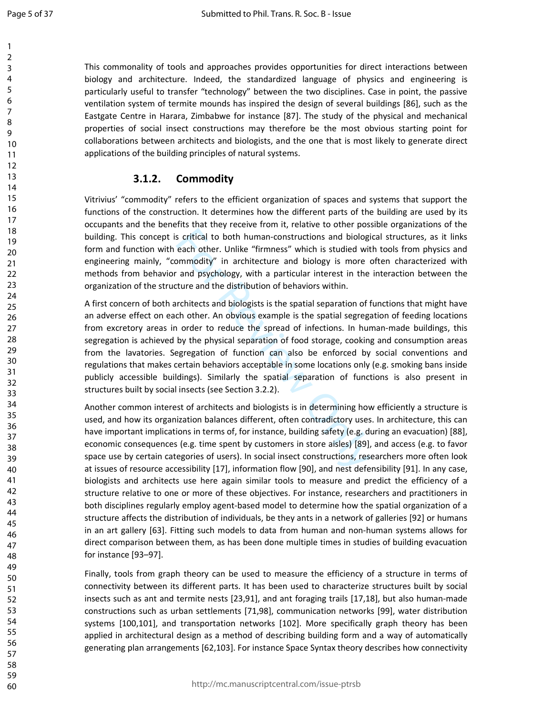Page 5 of 37

123456789

This commonality of tools and approaches provides opportunities for direct interactions between biology and architecture. Indeed, the standardized language of physics and engineering is particularly useful to transfer "technology" between the two disciplines. Case in point, the passive ventilation system of termite mounds has inspired the design of several buildings [86], such as the Eastgate Centre in Harara, Zimbabwe for instance [87]. The study of the physical and mechanical properties of social insect constructions may therefore be the most obvious starting point for collaborations between architects and biologists, and the one that is most likely to generate direct applications of the building principles of natural systems.

#### **3.1.2. Commodity**

Vitrivius' "commodity" refers to the efficient organization of spaces and systems that support the functions of the construction. It determines how the different parts of the building are used by its occupants and the benefits that they receive from it, relative to other possible organizations of the building. This concept is critical to both human-constructions and biological structures, as it links form and function with each other. Unlike "firmness" which is studied with tools from physics and engineering mainly, "commodity" in architecture and biology is more often characterized with methods from behavior and psychology, with a particular interest in the interaction between the organization of the structure and the distribution of behaviors within.

s critical to both human-constructions and biologi<br>each other. Unlike "firmness" which is studied wit<br>ommodity" in architecture and biology is more can and psychology, with a particular interest in the<br>ture and the distrib A first concern of both architects and biologists is the spatial separation of functions that might have an adverse effect on each other. An obvious example is the spatial segregation of feeding locations from excretory areas in order to reduce the spread of infections. In human-made buildings, this segregation is achieved by the physical separation of food storage, cooking and consumption areas from the lavatories. Segregation of function can also be enforced by social conventions and regulations that makes certain behaviors acceptable in some locations only (e.g. smoking bans inside publicly accessible buildings). Similarly the spatial separation of functions is also present in structures built by social insects (see Section 3.2.2).

Another common interest of architects and biologists is in determining how efficiently a structure is used, and how its organization balances different, often contradictory uses. In architecture, this can have important implications in terms of, for instance, building safety (e.g. during an evacuation) [88], economic consequences (e.g. time spent by customers in store aisles) [89], and access (e.g. to favor space use by certain categories of users). In social insect constructions, researchers more often look at issues of resource accessibility [17], information flow [90], and nest defensibility [91]. In any case, biologists and architects use here again similar tools to measure and predict the efficiency of a structure relative to one or more of these objectives. For instance, researchers and practitioners in both disciplines regularly employ agent-based model to determine how the spatial organization of a structure affects the distribution of individuals, be they ants in a network of galleries [92] or humans in an art gallery [63]. Fitting such models to data from human and non-human systems allows for direct comparison between them, as has been done multiple times in studies of building evacuation for instance [93–97].

Finally, tools from graph theory can be used to measure the efficiency of a structure in terms of connectivity between its different parts. It has been used to characterize structures built by social insects such as ant and termite nests [23,91], and ant foraging trails [17,18], but also human-made constructions such as urban settlements [71,98], communication networks [99], water distribution systems [100,101], and transportation networks [102]. More specifically graph theory has been applied in architectural design as a method of describing building form and a way of automatically generating plan arrangements [62,103]. For instance Space Syntax theory describes how connectivity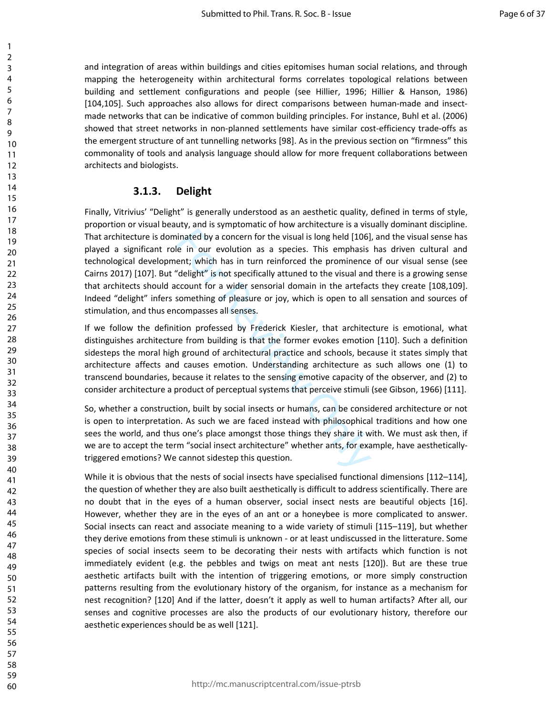and integration of areas within buildings and cities epitomises human social relations, and through mapping the heterogeneity within architectural forms correlates topological relations between building and settlement configurations and people (see Hillier, 1996; Hillier & Hanson, 1986) [104,105]. Such approaches also allows for direct comparisons between human-made and insectmade networks that can be indicative of common building principles. For instance, Buhl et al. (2006) showed that street networks in non-planned settlements have similar cost-efficiency trade-offs as the emergent structure of ant tunnelling networks [98]. As in the previous section on "firmness" this commonality of tools and analysis language should allow for more frequent collaborations between architects and biologists.

#### **3.1.3. Delight**

inated by a concern for the visual is long held [106]<br>le in our evolution as a species. This emphasis<br>ent; which has in turn reinforced the prominence<br>"delight" is not specifically attuned to the visual and<br>ccount for a wi Finally, Vitrivius' "Delight" is generally understood as an aesthetic quality, defined in terms of style, proportion or visual beauty, and is symptomatic of how architecture is a visually dominant discipline. That architecture is dominated by a concern for the visual is long held [106], and the visual sense has played a significant role in our evolution as a species. This emphasis has driven cultural and technological development; which has in turn reinforced the prominence of our visual sense (see Cairns 2017) [107]. But "delight" is not specifically attuned to the visual and there is a growing sense that architects should account for a wider sensorial domain in the artefacts they create [108,109]. Indeed "delight" infers something of pleasure or joy, which is open to all sensation and sources of stimulation, and thus encompasses all senses.

If we follow the definition professed by Frederick Kiesler, that architecture is emotional, what distinguishes architecture from building is that the former evokes emotion [110]. Such a definition sidesteps the moral high ground of architectural practice and schools, because it states simply that architecture affects and causes emotion. Understanding architecture as such allows one (1) to transcend boundaries, because it relates to the sensing emotive capacity of the observer, and (2) to consider architecture a product of perceptual systems that perceive stimuli (see Gibson, 1966) [111].

So, whether a construction, built by social insects or humans, can be considered architecture or not is open to interpretation. As such we are faced instead with philosophical traditions and how one sees the world, and thus one's place amongst those things they share it with. We must ask then, if we are to accept the term "social insect architecture" whether ants, for example, have aestheticallytriggered emotions? We cannot sidestep this question.

While it is obvious that the nests of social insects have specialised functional dimensions [112–114], the question of whether they are also built aesthetically is difficult to address scientifically. There are no doubt that in the eyes of a human observer, social insect nests are beautiful objects [16]. However, whether they are in the eyes of an ant or a honeybee is more complicated to answer. Social insects can react and associate meaning to a wide variety of stimuli [115–119], but whether they derive emotions from these stimuli is unknown - or at least undiscussed in the litterature. Some species of social insects seem to be decorating their nests with artifacts which function is not immediately evident (e.g. the pebbles and twigs on meat ant nests [120]). But are these true aesthetic artifacts built with the intention of triggering emotions, or more simply construction patterns resulting from the evolutionary history of the organism, for instance as a mechanism for nest recognition? [120] And if the latter, doesn't it apply as well to human artifacts? After all, our senses and cognitive processes are also the products of our evolutionary history, therefore our aesthetic experiences should be as well [121].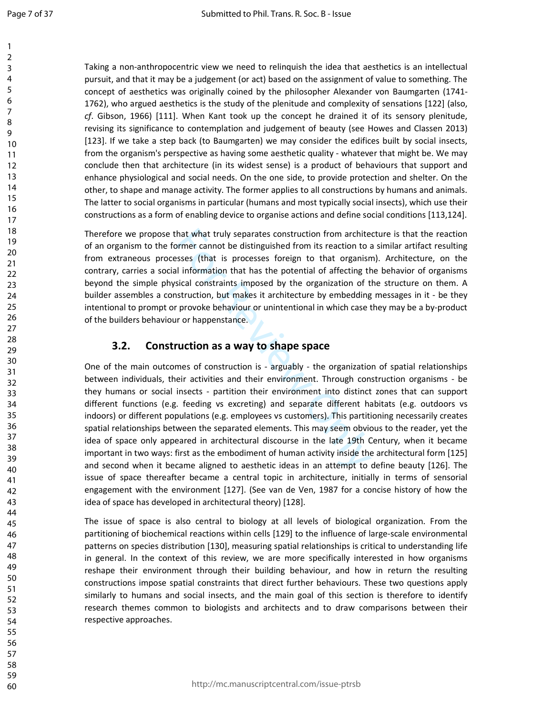Taking a non-anthropocentric view we need to relinquish the idea that aesthetics is an intellectual pursuit, and that it may be a judgement (or act) based on the assignment of value to something. The concept of aesthetics was originally coined by the philosopher Alexander von Baumgarten (1741- 1762), who argued aesthetics is the study of the plenitude and complexity of sensations [122] (also, *cf*. Gibson, 1966) [111]. When Kant took up the concept he drained it of its sensory plenitude, revising its significance to contemplation and judgement of beauty (see Howes and Classen 2013) [123]. If we take a step back (to Baumgarten) we may consider the edifices built by social insects, from the organism's perspective as having some aesthetic quality - whatever that might be. We may conclude then that architecture (in its widest sense) is a product of behaviours that support and enhance physiological and social needs. On the one side, to provide protection and shelter. On the other, to shape and manage activity. The former applies to all constructions by humans and animals. The latter to social organisms in particular (humans and most typically social insects), which use their constructions as a form of enabling device to organise actions and define social conditions [113,124].

Therefore we propose that what truly separates construction from architecture is that the reaction of an organism to the former cannot be distinguished from its reaction to a similar artifact resulting from extraneous processes (that is processes foreign to that organism). Architecture, on the contrary, carries a social information that has the potential of affecting the behavior of organisms beyond the simple physical constraints imposed by the organization of the structure on them. A builder assembles a construction, but makes it architecture by embedding messages in it - be they intentional to prompt or provoke behaviour or unintentional in which case they may be a by-product of the builders behaviour or happenstance.

#### **3.2. Construction as a way to shape space**

hat what truly separates construction from archite<br>
prmer cannot be distinguished from its reaction to a<br>
sises (that is processes foreign to that organisn<br>
Il information that has the potential of affecting th<br>
sical cons One of the main outcomes of construction is - arguably - the organization of spatial relationships between individuals, their activities and their environment. Through construction organisms - be they humans or social insects - partition their environment into distinct zones that can support different functions (e.g. feeding vs excreting) and separate different habitats (e.g. outdoors vs indoors) or different populations (e.g. employees vs customers). This partitioning necessarily creates spatial relationships between the separated elements. This may seem obvious to the reader, yet the idea of space only appeared in architectural discourse in the late 19th Century, when it became important in two ways: first as the embodiment of human activity inside the architectural form [125] and second when it became aligned to aesthetic ideas in an attempt to define beauty [126]. The issue of space thereafter became a central topic in architecture, initially in terms of sensorial engagement with the environment [127]. (See van de Ven, 1987 for a concise history of how the idea of space has developed in architectural theory) [128].

The issue of space is also central to biology at all levels of biological organization. From the partitioning of biochemical reactions within cells [129] to the influence of large-scale environmental patterns on species distribution [130], measuring spatial relationships is critical to understanding life in general. In the context of this review, we are more specifically interested in how organisms reshape their environment through their building behaviour, and how in return the resulting constructions impose spatial constraints that direct further behaviours. These two questions apply similarly to humans and social insects, and the main goal of this section is therefore to identify research themes common to biologists and architects and to draw comparisons between their respective approaches.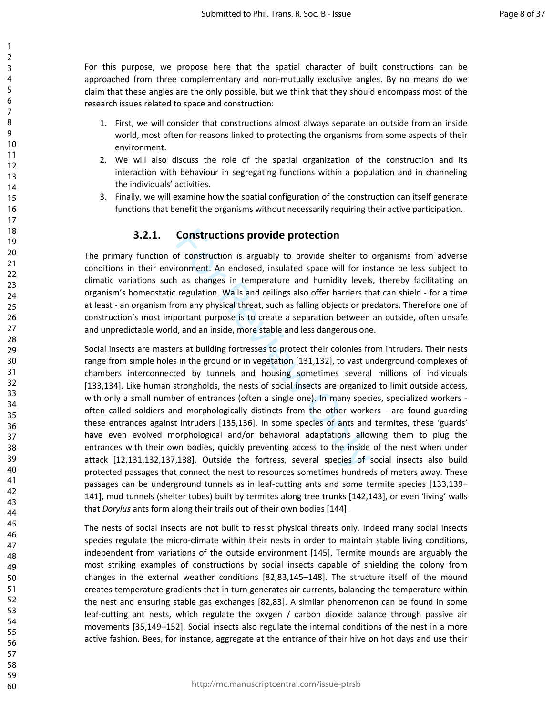For this purpose, we propose here that the spatial character of built constructions can be approached from three complementary and non-mutually exclusive angles. By no means do we claim that these angles are the only possible, but we think that they should encompass most of the research issues related to space and construction:

- 1. First, we will consider that constructions almost always separate an outside from an inside world, most often for reasons linked to protecting the organisms from some aspects of their environment.
- 2. We will also discuss the role of the spatial organization of the construction and its interaction with behaviour in segregating functions within a population and in channeling the individuals' activities.
- 3. Finally, we will examine how the spatial configuration of the construction can itself generate functions that benefit the organisms without necessarily requiring their active participation.

#### **3.2.1. Constructions provide protection**

The primary function of construction is arguably to provide shelter to organisms from adverse conditions in their environment. An enclosed, insulated space will for instance be less subject to climatic variations such as changes in temperature and humidity levels, thereby facilitating an organism's homeostatic regulation. Walls and ceilings also offer barriers that can shield - for a time at least - an organism from any physical threat, such as falling objects or predators. Therefore one of construction's most important purpose is to create a separation between an outside, often unsafe and unpredictable world, and an inside, more stable and less dangerous one.

**Constructions provide protection**<br>of construction is arguably to provide shelter to<br>ronment. An enclosed, insulated space will for ins<br>a changes in temperature and humidity levels<br>regulation. Walls and ceilings also offer Social insects are masters at building fortresses to protect their colonies from intruders. Their nests range from simple holes in the ground or in vegetation [131,132], to vast underground complexes of chambers interconnected by tunnels and housing sometimes several millions of individuals [133,134]. Like human strongholds, the nests of social insects are organized to limit outside access, with only a small number of entrances (often a single one). In many species, specialized workers often called soldiers and morphologically distincts from the other workers - are found guarding these entrances against intruders [135,136]. In some species of ants and termites, these 'guards' have even evolved morphological and/or behavioral adaptations allowing them to plug the entrances with their own bodies, quickly preventing access to the inside of the nest when under attack [12,131,132,137,138]. Outside the fortress, several species of social insects also build protected passages that connect the nest to resources sometimes hundreds of meters away. These passages can be underground tunnels as in leaf-cutting ants and some termite species [133,139– 141], mud tunnels (shelter tubes) built by termites along tree trunks [142,143], or even 'living' walls that *Dorylus* ants form along their trails out of their own bodies [144].

The nests of social insects are not built to resist physical threats only. Indeed many social insects species regulate the micro-climate within their nests in order to maintain stable living conditions, independent from variations of the outside environment [145]. Termite mounds are arguably the most striking examples of constructions by social insects capable of shielding the colony from changes in the external weather conditions [82,83,145–148]. The structure itself of the mound creates temperature gradients that in turn generates air currents, balancing the temperature within the nest and ensuring stable gas exchanges [82,83]. A similar phenomenon can be found in some leaf-cutting ant nests, which regulate the oxygen / carbon dioxide balance through passive air movements [35,149–152]. Social insects also regulate the internal conditions of the nest in a more active fashion. Bees, for instance, aggregate at the entrance of their hive on hot days and use their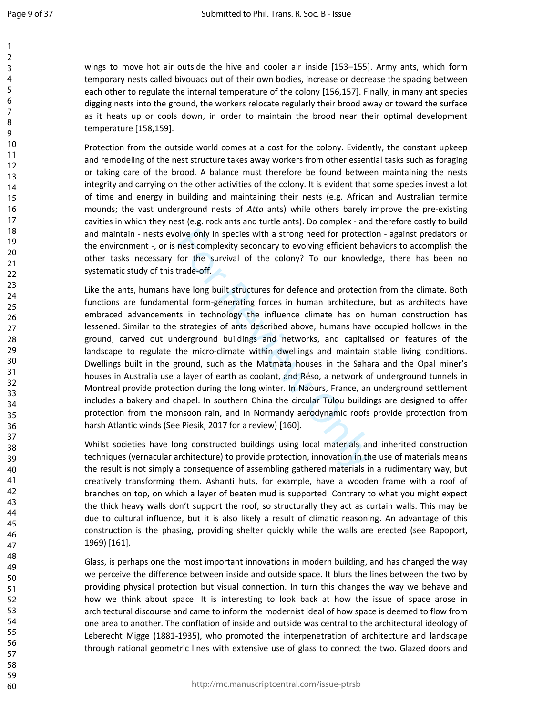wings to move hot air outside the hive and cooler air inside [153–155]. Army ants, which form temporary nests called bivouacs out of their own bodies, increase or decrease the spacing between each other to regulate the internal temperature of the colony [156,157]. Finally, in many ant species digging nests into the ground, the workers relocate regularly their brood away or toward the surface as it heats up or cools down, in order to maintain the brood near their optimal development temperature [158,159].

Protection from the outside world comes at a cost for the colony. Evidently, the constant upkeep and remodeling of the nest structure takes away workers from other essential tasks such as foraging or taking care of the brood. A balance must therefore be found between maintaining the nests integrity and carrying on the other activities of the colony. It is evident that some species invest a lot of time and energy in building and maintaining their nests (e.g. African and Australian termite mounds; the vast underground nests of *Atta* ants) while others barely improve the pre-existing cavities in which they nest (e.g. rock ants and turtle ants). Do complex - and therefore costly to build and maintain - nests evolve only in species with a strong need for protection - against predators or the environment -, or is nest complexity secondary to evolving efficient behaviors to accomplish the other tasks necessary for the survival of the colony? To our knowledge, there has been no systematic study of this trade-off.

olve only in species with a strong need for protecti<br>nest complexity secondary to evolving efficient be<br>for the survival of the colony? To our knowlec<br>trade-off.<br>ave long built structures for defence and protectio<br>tal form Like the ants, humans have long built structures for defence and protection from the climate. Both functions are fundamental form-generating forces in human architecture, but as architects have embraced advancements in technology the influence climate has on human construction has lessened. Similar to the strategies of ants described above, humans have occupied hollows in the ground, carved out underground buildings and networks, and capitalised on features of the landscape to regulate the micro-climate within dwellings and maintain stable living conditions. Dwellings built in the ground, such as the Matmata houses in the Sahara and the Opal miner's houses in Australia use a layer of earth as coolant, and Réso, a network of underground tunnels in Montreal provide protection during the long winter. In Naours, France, an underground settlement includes a bakery and chapel. In southern China the circular Tulou buildings are designed to offer protection from the monsoon rain, and in Normandy aerodynamic roofs provide protection from harsh Atlantic winds (See Piesik, 2017 for a review) [160].

Whilst societies have long constructed buildings using local materials and inherited construction techniques (vernacular architecture) to provide protection, innovation in the use of materials means the result is not simply a consequence of assembling gathered materials in a rudimentary way, but creatively transforming them. Ashanti huts, for example, have a wooden frame with a roof of branches on top, on which a layer of beaten mud is supported. Contrary to what you might expect the thick heavy walls don't support the roof, so structurally they act as curtain walls. This may be due to cultural influence, but it is also likely a result of climatic reasoning. An advantage of this construction is the phasing, providing shelter quickly while the walls are erected (see Rapoport, 1969) [161].

Glass, is perhaps one the most important innovations in modern building, and has changed the way we perceive the difference between inside and outside space. It blurs the lines between the two by providing physical protection but visual connection. In turn this changes the way we behave and how we think about space. It is interesting to look back at how the issue of space arose in architectural discourse and came to inform the modernist ideal of how space is deemed to flow from one area to another. The conflation of inside and outside was central to the architectural ideology of Leberecht Migge (1881-1935), who promoted the interpenetration of architecture and landscape through rational geometric lines with extensive use of glass to connect the two. Glazed doors and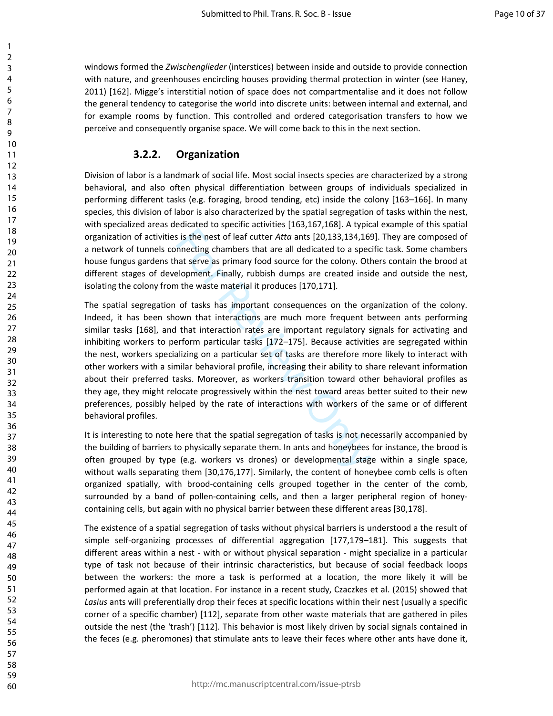windows formed the *Zwischenglieder* (interstices) between inside and outside to provide connection with nature, and greenhouses encircling houses providing thermal protection in winter (see Haney, 2011) [162]. Migge's interstitial notion of space does not compartmentalise and it does not follow the general tendency to categorise the world into discrete units: between internal and external, and for example rooms by function. This controlled and ordered categorisation transfers to how we perceive and consequently organise space. We will come back to this in the next section.

#### **3.2.2. Organization**

Division of labor is a landmark of social life. Most social insects species are characterized by a strong behavioral, and also often physical differentiation between groups of individuals specialized in performing different tasks (e.g. foraging, brood tending, etc) inside the colony [163–166]. In many species, this division of labor is also characterized by the spatial segregation of tasks within the nest, with specialized areas dedicated to specific activities [163,167,168]. A typical example of this spatial organization of activities is the nest of leaf cutter *Atta* ants [20,133,134,169]. They are composed of a network of tunnels connecting chambers that are all dedicated to a specific task. Some chambers house fungus gardens that serve as primary food source for the colony. Others contain the brood at different stages of development. Finally, rubbish dumps are created inside and outside the nest, isolating the colony from the waste material it produces [170,171].

is is the nest of leaf cutter *Atta* ants [20,133,134,169<br>nnecting chambers that are all dedicated to a spec-<br>nat serve as primary food source for the colony. Otherefore as primary food source for the colony. Otherefore th The spatial segregation of tasks has important consequences on the organization of the colony. Indeed, it has been shown that interactions are much more frequent between ants performing similar tasks [168], and that interaction rates are important regulatory signals for activating and inhibiting workers to perform particular tasks [172–175]. Because activities are segregated within the nest, workers specializing on a particular set of tasks are therefore more likely to interact with other workers with a similar behavioral profile, increasing their ability to share relevant information about their preferred tasks. Moreover, as workers transition toward other behavioral profiles as they age, they might relocate progressively within the nest toward areas better suited to their new preferences, possibly helped by the rate of interactions with workers of the same or of different behavioral profiles.

It is interesting to note here that the spatial segregation of tasks is not necessarily accompanied by the building of barriers to physically separate them. In ants and honeybees for instance, the brood is often grouped by type (e.g. workers vs drones) or developmental stage within a single space, without walls separating them [30,176,177]. Similarly, the content of honeybee comb cells is often organized spatially, with brood-containing cells grouped together in the center of the comb, surrounded by a band of pollen-containing cells, and then a larger peripheral region of honeycontaining cells, but again with no physical barrier between these different areas [30,178].

The existence of a spatial segregation of tasks without physical barriers is understood a the result of simple self-organizing processes of differential aggregation [177,179–181]. This suggests that different areas within a nest - with or without physical separation - might specialize in a particular type of task not because of their intrinsic characteristics, but because of social feedback loops between the workers: the more a task is performed at a location, the more likely it will be performed again at that location. For instance in a recent study, Czaczkes et al. (2015) showed that *Lasius* ants will preferentially drop their feces at specific locations within their nest (usually a specific corner of a specific chamber) [112], separate from other waste materials that are gathered in piles outside the nest (the 'trash') [112]. This behavior is most likely driven by social signals contained in the feces (e.g. pheromones) that stimulate ants to leave their feces where other ants have done it,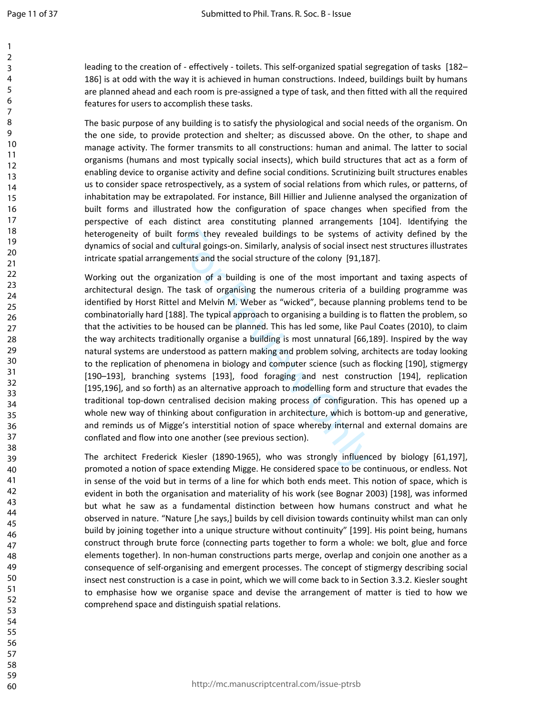leading to the creation of - effectively - toilets. This self-organized spatial segregation of tasks [182– 186] is at odd with the way it is achieved in human constructions. Indeed, buildings built by humans are planned ahead and each room is pre-assigned a type of task, and then fitted with all the required features for users to accomplish these tasks.

The basic purpose of any building is to satisfy the physiological and social needs of the organism. On the one side, to provide protection and shelter; as discussed above. On the other, to shape and manage activity. The former transmits to all constructions: human and animal. The latter to social organisms (humans and most typically social insects), which build structures that act as a form of enabling device to organise activity and define social conditions. Scrutinizing built structures enables us to consider space retrospectively, as a system of social relations from which rules, or patterns, of inhabitation may be extrapolated. For instance, Bill Hillier and Julienne analysed the organization of built forms and illustrated how the configuration of space changes when specified from the perspective of each distinct area constituting planned arrangements [104]. Identifying the heterogeneity of built forms they revealed buildings to be systems of activity defined by the dynamics of social and cultural goings-on. Similarly, analysis of social insect nest structures illustrates intricate spatial arrangements and the social structure of the colony [91,187].

forms they revealed buildings to be systems of<br>ultural goings-on. Similarly, analysis of social insect<br>ments and the social structure of the colony [91,18]<br>ization of a building is one of the most importan<br>e task of organi Working out the organization of a building is one of the most important and taxing aspects of architectural design. The task of organising the numerous criteria of a building programme was identified by Horst Rittel and Melvin M. Weber as "wicked", because planning problems tend to be combinatorially hard [188]. The typical approach to organising a building is to flatten the problem, so that the activities to be housed can be planned. This has led some, like Paul Coates (2010), to claim the way architects traditionally organise a building is most unnatural [66,189]. Inspired by the way natural systems are understood as pattern making and problem solving, architects are today looking to the replication of phenomena in biology and computer science (such as flocking [190], stigmergy [190–193], branching systems [193], food foraging and nest construction [194], replication [195,196], and so forth) as an alternative approach to modelling form and structure that evades the traditional top-down centralised decision making process of configuration. This has opened up a whole new way of thinking about configuration in architecture, which is bottom-up and generative, and reminds us of Migge's interstitial notion of space whereby internal and external domains are conflated and flow into one another (see previous section).

The architect Frederick Kiesler (1890-1965), who was strongly influenced by biology [61,197], promoted a notion of space extending Migge. He considered space to be continuous, or endless. Not in sense of the void but in terms of a line for which both ends meet. This notion of space, which is evident in both the organisation and materiality of his work (see Bognar 2003) [198], was informed but what he saw as a fundamental distinction between how humans construct and what he observed in nature. "Nature [,he says,] builds by cell division towards continuity whilst man can only build by joining together into a unique structure without continuity" [199]. His point being, humans construct through brute force (connecting parts together to form a whole: we bolt, glue and force elements together). In non-human constructions parts merge, overlap and conjoin one another as a consequence of self-organising and emergent processes. The concept of stigmergy describing social insect nest construction is a case in point, which we will come back to in Section 3.3.2. Kiesler sought to emphasise how we organise space and devise the arrangement of matter is tied to how we comprehend space and distinguish spatial relations.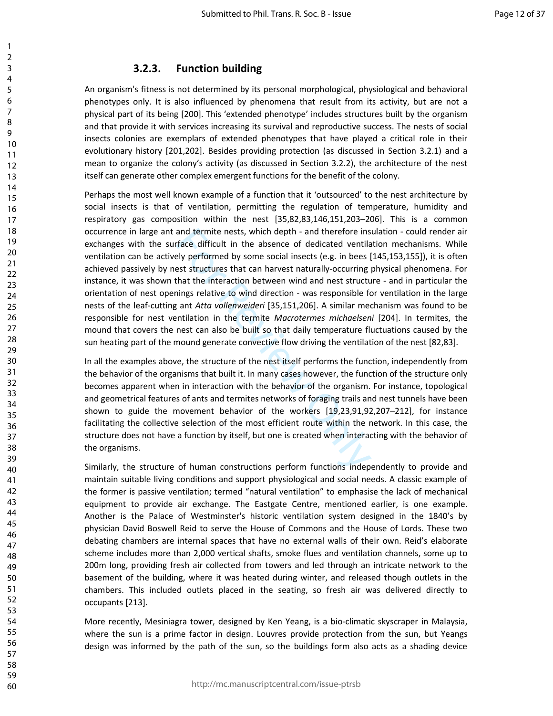#### **3.2.3. Function building**

An organism's fitness is not determined by its personal morphological, physiological and behavioral phenotypes only. It is also influenced by phenomena that result from its activity, but are not a physical part of its being [200]. This 'extended phenotype' includes structures built by the organism and that provide it with services increasing its survival and reproductive success. The nests of social insects colonies are exemplars of extended phenotypes that have played a critical role in their evolutionary history [201,202]. Besides providing protection (as discussed in Section 3.2.1) and a mean to organize the colony's activity (as discussed in Section 3.2.2), the architecture of the nest itself can generate other complex emergent functions for the benefit of the colony.

and termite nests, which depth - and therefore ins<br>face difficult in the absence of dedicated ventila<br>ely performed by some social insects (e.g. in bees [<br>est structures that can harvest naturally-occurring<br>that the intera Perhaps the most well known example of a function that it 'outsourced' to the nest architecture by social insects is that of ventilation, permitting the regulation of temperature, humidity and respiratory gas composition within the nest [35,82,83,146,151,203–206]. This is a common occurrence in large ant and termite nests, which depth - and therefore insulation - could render air exchanges with the surface difficult in the absence of dedicated ventilation mechanisms. While ventilation can be actively performed by some social insects (e.g. in bees [145,153,155]), it is often achieved passively by nest structures that can harvest naturally-occurring physical phenomena. For instance, it was shown that the interaction between wind and nest structure - and in particular the orientation of nest openings relative to wind direction - was responsible for ventilation in the large nests of the leaf-cutting ant *Atta vollenweideri* [35,151,206]. A similar mechanism was found to be responsible for nest ventilation in the termite *Macrotermes michaelseni* [204]. In termites, the mound that covers the nest can also be built so that daily temperature fluctuations caused by the sun heating part of the mound generate convective flow driving the ventilation of the nest [82,83].

In all the examples above, the structure of the nest itself performs the function, independently from the behavior of the organisms that built it. In many cases however, the function of the structure only becomes apparent when in interaction with the behavior of the organism. For instance, topological and geometrical features of ants and termites networks of foraging trails and nest tunnels have been shown to guide the movement behavior of the workers [19,23,91,92,207–212], for instance facilitating the collective selection of the most efficient route within the network. In this case, the structure does not have a function by itself, but one is created when interacting with the behavior of the organisms.

Similarly, the structure of human constructions perform functions independently to provide and maintain suitable living conditions and support physiological and social needs. A classic example of the former is passive ventilation; termed "natural ventilation" to emphasise the lack of mechanical equipment to provide air exchange. The Eastgate Centre, mentioned earlier, is one example. Another is the Palace of Westminster's historic ventilation system designed in the 1840's by physician David Boswell Reid to serve the House of Commons and the House of Lords. These two debating chambers are internal spaces that have no external walls of their own. Reid's elaborate scheme includes more than 2,000 vertical shafts, smoke flues and ventilation channels, some up to 200m long, providing fresh air collected from towers and led through an intricate network to the basement of the building, where it was heated during winter, and released though outlets in the chambers. This included outlets placed in the seating, so fresh air was delivered directly to occupants [213].

More recently, Mesiniagra tower, designed by Ken Yeang, is a bio-climatic skyscraper in Malaysia, where the sun is a prime factor in design. Louvres provide protection from the sun, but Yeangs design was informed by the path of the sun, so the buildings form also acts as a shading device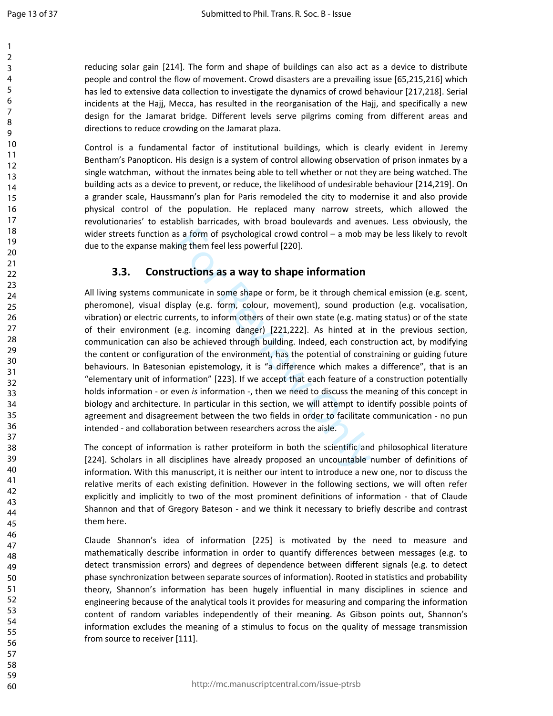reducing solar gain [214]. The form and shape of buildings can also act as a device to distribute people and control the flow of movement. Crowd disasters are a prevailing issue [65,215,216] which has led to extensive data collection to investigate the dynamics of crowd behaviour [217,218]. Serial incidents at the Hajj, Mecca, has resulted in the reorganisation of the Hajj, and specifically a new design for the Jamarat bridge. Different levels serve pilgrims coming from different areas and directions to reduce crowding on the Jamarat plaza.

Control is a fundamental factor of institutional buildings, which is clearly evident in Jeremy Bentham's Panopticon. His design is a system of control allowing observation of prison inmates by a single watchman, without the inmates being able to tell whether or not they are being watched. The building acts as a device to prevent, or reduce, the likelihood of undesirable behaviour [214,219]. On a grander scale, Haussmann's plan for Paris remodeled the city to modernise it and also provide physical control of the population. He replaced many narrow streets, which allowed the revolutionaries' to establish barricades, with broad boulevards and avenues. Less obviously, the wider streets function as a form of psychological crowd control – a mob may be less likely to revolt due to the expanse making them feel less powerful [220].

#### **3.3. Constructions as a way to shape information**

s a form of psychological crowd control – a mob m<br>ing them feel less powerful [220].<br> **ructions as a way to shape information**<br>
unicate in some shape or form, be it through chem<br>
play (e.g. form, colour, movement), sound p All living systems communicate in some shape or form, be it through chemical emission (e.g. scent, pheromone), visual display (e.g. form, colour, movement), sound production (e.g. vocalisation, vibration) or electric currents, to inform others of their own state (e.g. mating status) or of the state of their environment (e.g. incoming danger) [221,222]. As hinted at in the previous section, communication can also be achieved through building. Indeed, each construction act, by modifying the content or configuration of the environment, has the potential of constraining or guiding future behaviours. In Batesonian epistemology, it is "a difference which makes a difference", that is an "elementary unit of information" [223]. If we accept that each feature of a construction potentially holds information - or even *is* information -, then we need to discuss the meaning of this concept in biology and architecture. In particular in this section, we will attempt to identify possible points of agreement and disagreement between the two fields in order to facilitate communication - no pun intended - and collaboration between researchers across the aisle.

The concept of information is rather proteiform in both the scientific and philosophical literature [224]. Scholars in all disciplines have already proposed an uncountable number of definitions of information. With this manuscript, it is neither our intent to introduce a new one, nor to discuss the relative merits of each existing definition. However in the following sections, we will often refer explicitly and implicitly to two of the most prominent definitions of information - that of Claude Shannon and that of Gregory Bateson - and we think it necessary to briefly describe and contrast them here.

Claude Shannon's idea of information [225] is motivated by the need to measure and mathematically describe information in order to quantify differences between messages (e.g. to detect transmission errors) and degrees of dependence between different signals (e.g. to detect phase synchronization between separate sources of information). Rooted in statistics and probability theory, Shannon's information has been hugely influential in many disciplines in science and engineering because of the analytical tools it provides for measuring and comparing the information content of random variables independently of their meaning. As Gibson points out, Shannon's information excludes the meaning of a stimulus to focus on the quality of message transmission from source to receiver [111].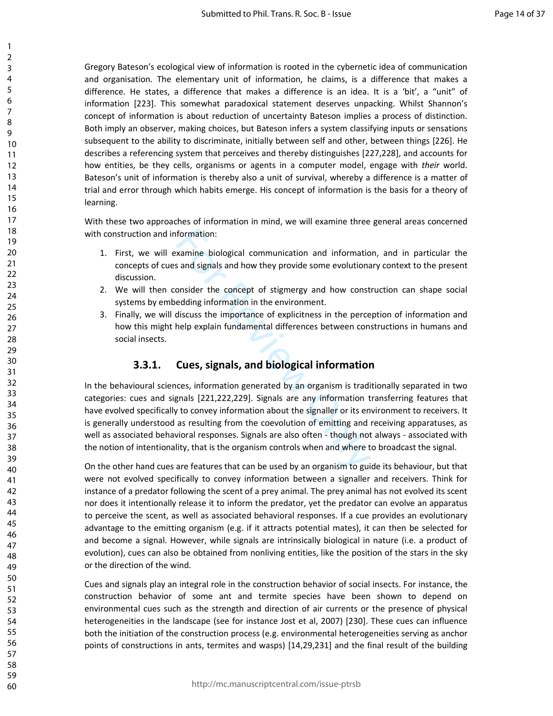Gregory Bateson's ecological view of information is rooted in the cybernetic idea of communication and organisation. The elementary unit of information, he claims, is a difference that makes a difference. He states, a difference that makes a difference is an idea. It is a 'bit', a "unit" of information [223]. This somewhat paradoxical statement deserves unpacking. Whilst Shannon's concept of information is about reduction of uncertainty Bateson implies a process of distinction. Both imply an observer, making choices, but Bateson infers a system classifying inputs or sensations subsequent to the ability to discriminate, initially between self and other, between things [226]. He describes a referencing system that perceives and thereby distinguishes [227,228], and accounts for how entities, be they cells, organisms or agents in a computer model, engage with *their* world. Bateson's unit of information is thereby also a unit of survival, whereby a difference is a matter of trial and error through which habits emerge. His concept of information is the basis for a theory of learning.

With these two approaches of information in mind, we will examine three general areas concerned with construction and information:

- 1. First, we will examine biological communication and information, and in particular the concepts of cues and signals and how they provide some evolutionary context to the present discussion.
- 2. We will then consider the concept of stigmergy and how construction can shape social systems by embedding information in the environment.
- 3. Finally, we will discuss the importance of explicitness in the perception of information and how this might help explain fundamental differences between constructions in humans and social insects.

#### **3.3.1. Cues, signals, and biological information**

formation:<br>
samine biological communication and information<br>
samd signals and how they provide some evolutiona<br>
onsider the concept of stigmergy and how const<br>
edding information in the environment.<br>
discuss the importance In the behavioural sciences, information generated by an organism is traditionally separated in two categories: cues and signals [221,222,229]. Signals are any information transferring features that have evolved specifically to convey information about the signaller or its environment to receivers. It is generally understood as resulting from the coevolution of emitting and receiving apparatuses, as well as associated behavioral responses. Signals are also often - though not always - associated with the notion of intentionality, that is the organism controls when and where to broadcast the signal.

On the other hand cues are features that can be used by an organism to guide its behaviour, but that were not evolved specifically to convey information between a signaller and receivers. Think for instance of a predator following the scent of a prey animal. The prey animal has not evolved its scent nor does it intentionally release it to inform the predator, yet the predator can evolve an apparatus to perceive the scent, as well as associated behavioral responses. If a cue provides an evolutionary advantage to the emitting organism (e.g. if it attracts potential mates), it can then be selected for and become a signal. However, while signals are intrinsically biological in nature (i.e. a product of evolution), cues can also be obtained from nonliving entities, like the position of the stars in the sky or the direction of the wind.

Cues and signals play an integral role in the construction behavior of social insects. For instance, the construction behavior of some ant and termite species have been shown to depend on environmental cues such as the strength and direction of air currents or the presence of physical heterogeneities in the landscape (see for instance Jost et al, 2007) [230]. These cues can influence both the initiation of the construction process (e.g. environmental heterogeneities serving as anchor points of constructions in ants, termites and wasps) [14,29,231] and the final result of the building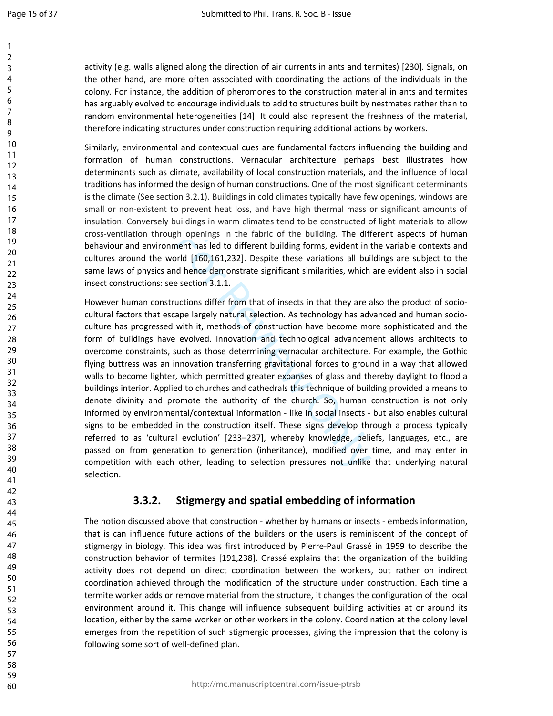activity (e.g. walls aligned along the direction of air currents in ants and termites) [230]. Signals, on the other hand, are more often associated with coordinating the actions of the individuals in the colony. For instance, the addition of pheromones to the construction material in ants and termites has arguably evolved to encourage individuals to add to structures built by nestmates rather than to random environmental heterogeneities [14]. It could also represent the freshness of the material, therefore indicating structures under construction requiring additional actions by workers.

Similarly, environmental and contextual cues are fundamental factors influencing the building and formation of human constructions. Vernacular architecture perhaps best illustrates how determinants such as climate, availability of local construction materials, and the influence of local traditions has informed the design of human constructions. One of the most significant determinants is the climate (See section 3.2.1). Buildings in cold climates typically have few openings, windows are small or non-existent to prevent heat loss, and have high thermal mass or significant amounts of insulation. Conversely buildings in warm climates tend to be constructed of light materials to allow cross-ventilation through openings in the fabric of the building. The different aspects of human behaviour and environment has led to different building forms, evident in the variable contexts and cultures around the world [160,161,232]. Despite these variations all buildings are subject to the same laws of physics and hence demonstrate significant similarities, which are evident also in social insect constructions: see section 3.1.1.

th openings in the fabric of the building. The different has led to different building forms, evident in the proof and the proof. The different building forms, evident in the proof. The different significant similarities, However human constructions differ from that of insects in that they are also the product of sociocultural factors that escape largely natural selection. As technology has advanced and human socioculture has progressed with it, methods of construction have become more sophisticated and the form of buildings have evolved. Innovation and technological advancement allows architects to overcome constraints, such as those determining vernacular architecture. For example, the Gothic flying buttress was an innovation transferring gravitational forces to ground in a way that allowed walls to become lighter, which permitted greater expanses of glass and thereby daylight to flood a buildings interior. Applied to churches and cathedrals this technique of building provided a means to denote divinity and promote the authority of the church. So, human construction is not only informed by environmental/contextual information - like in social insects - but also enables cultural signs to be embedded in the construction itself. These signs develop through a process typically referred to as 'cultural evolution' [233–237], whereby knowledge, beliefs, languages, etc., are passed on from generation to generation (inheritance), modified over time, and may enter in competition with each other, leading to selection pressures not unlike that underlying natural selection.

#### **3.3.2. Stigmergy and spatial embedding of information**

The notion discussed above that construction - whether by humans or insects - embeds information, that is can influence future actions of the builders or the users is reminiscent of the concept of stigmergy in biology. This idea was first introduced by Pierre-Paul Grassé in 1959 to describe the construction behavior of termites [191,238]. Grassé explains that the organization of the building activity does not depend on direct coordination between the workers, but rather on indirect coordination achieved through the modification of the structure under construction. Each time a termite worker adds or remove material from the structure, it changes the configuration of the local environment around it. This change will influence subsequent building activities at or around its location, either by the same worker or other workers in the colony. Coordination at the colony level emerges from the repetition of such stigmergic processes, giving the impression that the colony is following some sort of well-defined plan.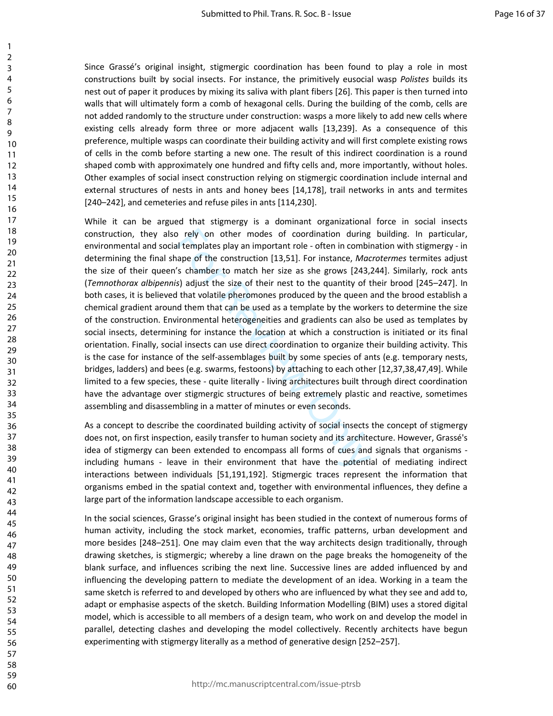Since Grassé's original insight, stigmergic coordination has been found to play a role in most constructions built by social insects. For instance, the primitively eusocial wasp *Polistes* builds its nest out of paper it produces by mixing its saliva with plant fibers [26]. This paper is then turned into walls that will ultimately form a comb of hexagonal cells. During the building of the comb, cells are not added randomly to the structure under construction: wasps a more likely to add new cells where existing cells already form three or more adjacent walls [13,239]. As a consequence of this preference, multiple wasps can coordinate their building activity and will first complete existing rows of cells in the comb before starting a new one. The result of this indirect coordination is a round shaped comb with approximately one hundred and fifty cells and, more importantly, without holes. Other examples of social insect construction relying on stigmergic coordination include internal and external structures of nests in ants and honey bees [14,178], trail networks in ants and termites [240–242], and cemeteries and refuse piles in ants [114,230].

b rely on other modes of coordination during<br>al templates play an important role - often in combinape<br>of the construction [13,51]. For instance, *Mac*<br>'s chamber to match her size as she grows [243,;<br>s) adjust the size of While it can be argued that stigmergy is a dominant organizational force in social insects construction, they also rely on other modes of coordination during building. In particular, environmental and social templates play an important role - often in combination with stigmergy - in determining the final shape of the construction [13,51]. For instance, *Macrotermes* termites adjust the size of their queen's chamber to match her size as she grows [243,244]. Similarly, rock ants (*Temnothorax albipennis*) adjust the size of their nest to the quantity of their brood [245–247]. In both cases, it is believed that volatile pheromones produced by the queen and the brood establish a chemical gradient around them that can be used as a template by the workers to determine the size of the construction. Environmental heterogeneities and gradients can also be used as templates by social insects, determining for instance the location at which a construction is initiated or its final orientation. Finally, social insects can use direct coordination to organize their building activity. This is the case for instance of the self-assemblages built by some species of ants (e.g. temporary nests, bridges, ladders) and bees (e.g. swarms, festoons) by attaching to each other [12,37,38,47,49]. While limited to a few species, these - quite literally - living architectures built through direct coordination have the advantage over stigmergic structures of being extremely plastic and reactive, sometimes assembling and disassembling in a matter of minutes or even seconds.

As a concept to describe the coordinated building activity of social insects the concept of stigmergy does not, on first inspection, easily transfer to human society and its architecture. However, Grassé's idea of stigmergy can been extended to encompass all forms of cues and signals that organisms including humans - leave in their environment that have the potential of mediating indirect interactions between individuals [51,191,192]. Stigmergic traces represent the information that organisms embed in the spatial context and, together with environmental influences, they define a large part of the information landscape accessible to each organism.

In the social sciences, Grasse's original insight has been studied in the context of numerous forms of human activity, including the stock market, economies, traffic patterns, urban development and more besides [248–251]. One may claim even that the way architects design traditionally, through drawing sketches, is stigmergic; whereby a line drawn on the page breaks the homogeneity of the blank surface, and influences scribing the next line. Successive lines are added influenced by and influencing the developing pattern to mediate the development of an idea. Working in a team the same sketch is referred to and developed by others who are influenced by what they see and add to, adapt or emphasise aspects of the sketch. Building Information Modelling (BIM) uses a stored digital model, which is accessible to all members of a design team, who work on and develop the model in parallel, detecting clashes and developing the model collectively. Recently architects have begun experimenting with stigmergy literally as a method of generative design [252–257].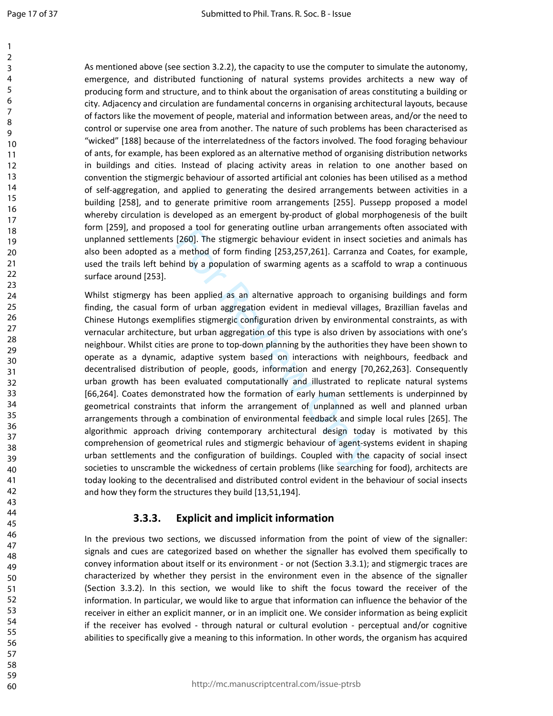As mentioned above (see section 3.2.2), the capacity to use the computer to simulate the autonomy, emergence, and distributed functioning of natural systems provides architects a new way of producing form and structure, and to think about the organisation of areas constituting a building or city. Adjacency and circulation are fundamental concerns in organising architectural layouts, because of factors like the movement of people, material and information between areas, and/or the need to control or supervise one area from another. The nature of such problems has been characterised as "wicked" [188] because of the interrelatedness of the factors involved. The food foraging behaviour of ants, for example, has been explored as an alternative method of organising distribution networks in buildings and cities. Instead of placing activity areas in relation to one another based on convention the stigmergic behaviour of assorted artificial ant colonies has been utilised as a method of self-aggregation, and applied to generating the desired arrangements between activities in a building [258], and to generate primitive room arrangements [255]. Pussepp proposed a model whereby circulation is developed as an emergent by-product of global morphogenesis of the built form [259], and proposed a tool for generating outline urban arrangements often associated with unplanned settlements [260]. The stigmergic behaviour evident in insect societies and animals has also been adopted as a method of form finding [253,257,261]. Carranza and Coates, for example, used the trails left behind by a population of swarming agents as a scaffold to wrap a continuous surface around [253].

[260]. The stigmergic behaviour evident in insect s<br>method of form finding [253,257,261]. Carranza and by a population of swarming agents as a scaff<br>een applied as an alternative approach to organ<br>n of urban aggregation ev Whilst stigmergy has been applied as an alternative approach to organising buildings and form finding, the casual form of urban aggregation evident in medieval villages, Brazillian favelas and Chinese Hutongs exemplifies stigmergic configuration driven by environmental constraints, as with vernacular architecture, but urban aggregation of this type is also driven by associations with one's neighbour. Whilst cities are prone to top-down planning by the authorities they have been shown to operate as a dynamic, adaptive system based on interactions with neighbours, feedback and decentralised distribution of people, goods, information and energy [70,262,263]. Consequently urban growth has been evaluated computationally and illustrated to replicate natural systems [66,264]. Coates demonstrated how the formation of early human settlements is underpinned by geometrical constraints that inform the arrangement of unplanned as well and planned urban arrangements through a combination of environmental feedback and simple local rules [265]. The algorithmic approach driving contemporary architectural design today is motivated by this comprehension of geometrical rules and stigmergic behaviour of agent-systems evident in shaping urban settlements and the configuration of buildings. Coupled with the capacity of social insect societies to unscramble the wickedness of certain problems (like searching for food), architects are today looking to the decentralised and distributed control evident in the behaviour of social insects and how they form the structures they build [13,51,194].

#### **3.3.3. Explicit and implicit information**

In the previous two sections, we discussed information from the point of view of the signaller: signals and cues are categorized based on whether the signaller has evolved them specifically to convey information about itself or its environment - or not (Section 3.3.1); and stigmergic traces are characterized by whether they persist in the environment even in the absence of the signaller (Section 3.3.2). In this section, we would like to shift the focus toward the receiver of the information. In particular, we would like to argue that information can influence the behavior of the receiver in either an explicit manner, or in an implicit one. We consider information as being explicit if the receiver has evolved - through natural or cultural evolution - perceptual and/or cognitive abilities to specifically give a meaning to this information. In other words, the organism has acquired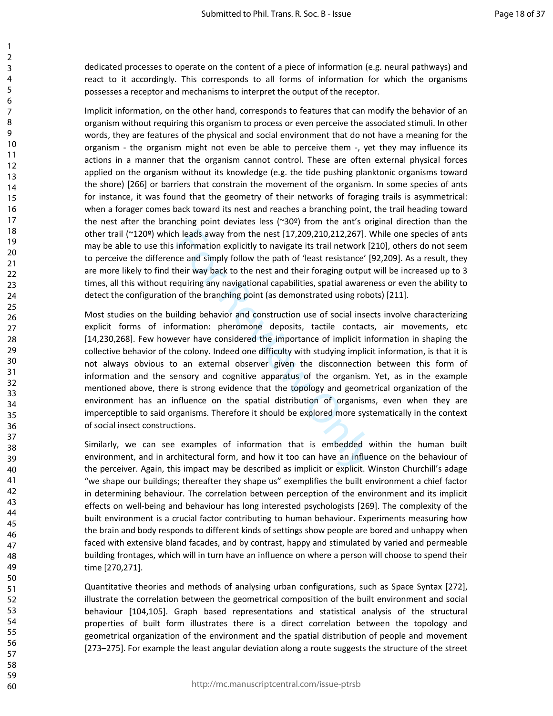dedicated processes to operate on the content of a piece of information (e.g. neural pathways) and react to it accordingly. This corresponds to all forms of information for which the organisms possesses a receptor and mechanisms to interpret the output of the receptor.

Implicit information, on the other hand, corresponds to features that can modify the behavior of an organism without requiring this organism to process or even perceive the associated stimuli. In other words, they are features of the physical and social environment that do not have a meaning for the organism - the organism might not even be able to perceive them -, yet they may influence its actions in a manner that the organism cannot control. These are often external physical forces applied on the organism without its knowledge (e.g. the tide pushing planktonic organisms toward the shore) [266] or barriers that constrain the movement of the organism. In some species of ants for instance, it was found that the geometry of their networks of foraging trails is asymmetrical: when a forager comes back toward its nest and reaches a branching point, the trail heading toward the nest after the branching point deviates less  $(\sim 30)$  from the ant's original direction than the other trail (~120º) which leads away from the nest [17,209,210,212,267]. While one species of ants may be able to use this information explicitly to navigate its trail network [210], others do not seem to perceive the difference and simply follow the path of 'least resistance' [92,209]. As a result, they are more likely to find their way back to the nest and their foraging output will be increased up to 3 times, all this without requiring any navigational capabilities, spatial awareness or even the ability to detect the configuration of the branching point (as demonstrated using robots) [211].

h leads away from the nest [17,209,210,212,267]. V<br>information explicitly to navigate its trail network [:<br>ce and simply follow the path of 'least resistance' [<br>heir way back to the nest and their foraging output<br>quiring a Most studies on the building behavior and construction use of social insects involve characterizing explicit forms of information: pheromone deposits, tactile contacts, air movements, etc [14,230,268]. Few however have considered the importance of implicit information in shaping the collective behavior of the colony. Indeed one difficulty with studying implicit information, is that it is not always obvious to an external observer given the disconnection between this form of information and the sensory and cognitive apparatus of the organism. Yet, as in the example mentioned above, there is strong evidence that the topology and geometrical organization of the environment has an influence on the spatial distribution of organisms, even when they are imperceptible to said organisms. Therefore it should be explored more systematically in the context of social insect constructions.

Similarly, we can see examples of information that is embedded within the human built environment, and in architectural form, and how it too can have an influence on the behaviour of the perceiver. Again, this impact may be described as implicit or explicit. Winston Churchill's adage "we shape our buildings; thereafter they shape us" exemplifies the built environment a chief factor in determining behaviour. The correlation between perception of the environment and its implicit effects on well-being and behaviour has long interested psychologists [269]. The complexity of the built environment is a crucial factor contributing to human behaviour. Experiments measuring how the brain and body responds to different kinds of settings show people are bored and unhappy when faced with extensive bland facades, and by contrast, happy and stimulated by varied and permeable building frontages, which will in turn have an influence on where a person will choose to spend their time [270,271].

Quantitative theories and methods of analysing urban configurations, such as Space Syntax [272], illustrate the correlation between the geometrical composition of the built environment and social behaviour [104,105]. Graph based representations and statistical analysis of the structural properties of built form illustrates there is a direct correlation between the topology and geometrical organization of the environment and the spatial distribution of people and movement [273–275]. For example the least angular deviation along a route suggests the structure of the street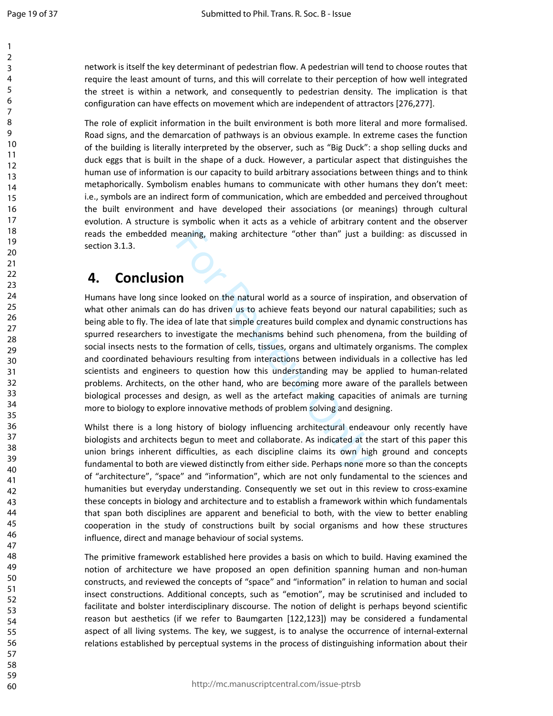60

network is itself the key determinant of pedestrian flow. A pedestrian will tend to choose routes that require the least amount of turns, and this will correlate to their perception of how well integrated the street is within a network, and consequently to pedestrian density. The implication is that configuration can have effects on movement which are independent of attractors [276,277].

The role of explicit information in the built environment is both more literal and more formalised. Road signs, and the demarcation of pathways is an obvious example. In extreme cases the function of the building is literally interpreted by the observer, such as "Big Duck": a shop selling ducks and duck eggs that is built in the shape of a duck. However, a particular aspect that distinguishes the human use of information is our capacity to build arbitrary associations between things and to think metaphorically. Symbolism enables humans to communicate with other humans they don't meet: i.e., symbols are an indirect form of communication, which are embedded and perceived throughout the built environment and have developed their associations (or meanings) through cultural evolution. A structure is symbolic when it acts as a vehicle of arbitrary content and the observer reads the embedded meaning, making architecture "other than" just a building: as discussed in section 3.1.3.

# **4. Conclusion**

neaning, making architecture "other than" just a<br> **n**<br>
looked on the natural world as a source of inspirate than as do has driven us to achieve feats beyond our nat<br>
looked on the natural world as a source of inspirate and Humans have long since looked on the natural world as a source of inspiration, and observation of what other animals can do has driven us to achieve feats beyond our natural capabilities; such as being able to fly. The idea of late that simple creatures build complex and dynamic constructions has spurred researchers to investigate the mechanisms behind such phenomena, from the building of social insects nests to the formation of cells, tissues, organs and ultimately organisms. The complex and coordinated behaviours resulting from interactions between individuals in a collective has led scientists and engineers to question how this understanding may be applied to human-related problems. Architects, on the other hand, who are becoming more aware of the parallels between biological processes and design, as well as the artefact making capacities of animals are turning more to biology to explore innovative methods of problem solving and designing.

Whilst there is a long history of biology influencing architectural endeavour only recently have biologists and architects begun to meet and collaborate. As indicated at the start of this paper this union brings inherent difficulties, as each discipline claims its own high ground and concepts fundamental to both are viewed distinctly from either side. Perhaps none more so than the concepts of "architecture", "space" and "information", which are not only fundamental to the sciences and humanities but everyday understanding. Consequently we set out in this review to cross-examine these concepts in biology and architecture and to establish a framework within which fundamentals that span both disciplines are apparent and beneficial to both, with the view to better enabling cooperation in the study of constructions built by social organisms and how these structures influence, direct and manage behaviour of social systems.

The primitive framework established here provides a basis on which to build. Having examined the notion of architecture we have proposed an open definition spanning human and non-human constructs, and reviewed the concepts of "space" and "information" in relation to human and social insect constructions. Additional concepts, such as "emotion", may be scrutinised and included to facilitate and bolster interdisciplinary discourse. The notion of delight is perhaps beyond scientific reason but aesthetics (if we refer to Baumgarten [122,123]) may be considered a fundamental aspect of all living systems. The key, we suggest, is to analyse the occurrence of internal-external relations established by perceptual systems in the process of distinguishing information about their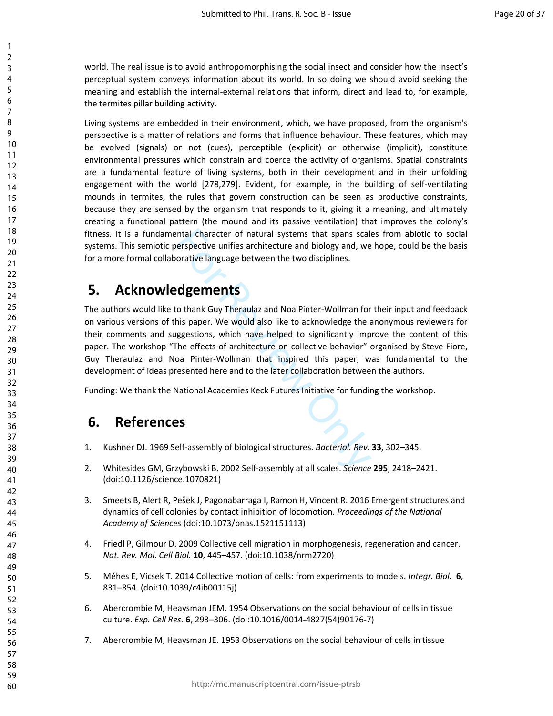world. The real issue is to avoid anthropomorphising the social insect and consider how the insect's perceptual system conveys information about its world. In so doing we should avoid seeking the meaning and establish the internal-external relations that inform, direct and lead to, for example, the termites pillar building activity.

Living systems are embedded in their environment, which, we have proposed, from the organism's perspective is a matter of relations and forms that influence behaviour. These features, which may be evolved (signals) or not (cues), perceptible (explicit) or otherwise (implicit), constitute environmental pressures which constrain and coerce the activity of organisms. Spatial constraints are a fundamental feature of living systems, both in their development and in their unfolding engagement with the world [278,279]. Evident, for example, in the building of self-ventilating mounds in termites, the rules that govern construction can be seen as productive constraints, because they are sensed by the organism that responds to it, giving it a meaning, and ultimately creating a functional pattern (the mound and its passive ventilation) that improves the colony's fitness. It is a fundamental character of natural systems that spans scales from abiotic to social systems. This semiotic perspective unifies architecture and biology and, we hope, could be the basis for a more formal collaborative language between the two disciplines.

### **5. Acknowledgements**

Internal character of natural systems that spans scale<br>
respective unifies architecture and biology and, we<br>
orative language between the two disciplines.<br> **Cdgements**<br>
to thank Guy Theraulaz and Noa Pinter-Wollman for<br>
hi The authors would like to thank Guy Theraulaz and Noa Pinter-Wollman for their input and feedback on various versions of this paper. We would also like to acknowledge the anonymous reviewers for their comments and suggestions, which have helped to significantly improve the content of this paper. The workshop "The effects of architecture on collective behavior" organised by Steve Fiore, Guy Theraulaz and Noa Pinter-Wollman that inspired this paper, was fundamental to the development of ideas presented here and to the later collaboration between the authors.

Funding: We thank the National Academies Keck Futures Initiative for funding the workshop.

### **6. References**

- 1. Kushner DJ. 1969 Self-assembly of biological structures. *Bacteriol. Rev.* **33**, 302–345.
- 2. Whitesides GM, Grzybowski B. 2002 Self-assembly at all scales. *Science* **295**, 2418–2421. (doi:10.1126/science.1070821)
- 3. Smeets B, Alert R, Pešek J, Pagonabarraga I, Ramon H, Vincent R. 2016 Emergent structures and dynamics of cell colonies by contact inhibition of locomotion. *Proceedings of the National Academy of Sciences* (doi:10.1073/pnas.1521151113)
- 4. Friedl P, Gilmour D. 2009 Collective cell migration in morphogenesis, regeneration and cancer. *Nat. Rev. Mol. Cell Biol.* **10**, 445–457. (doi:10.1038/nrm2720)
- 5. Méhes E, Vicsek T. 2014 Collective motion of cells: from experiments to models. *Integr. Biol.* **6**, 831–854. (doi:10.1039/c4ib00115j)
- 6. Abercrombie M, Heaysman JEM. 1954 Observations on the social behaviour of cells in tissue culture. *Exp. Cell Res.* **6**, 293–306. (doi:10.1016/0014-4827(54)90176-7)
- 7. Abercrombie M, Heaysman JE. 1953 Observations on the social behaviour of cells in tissue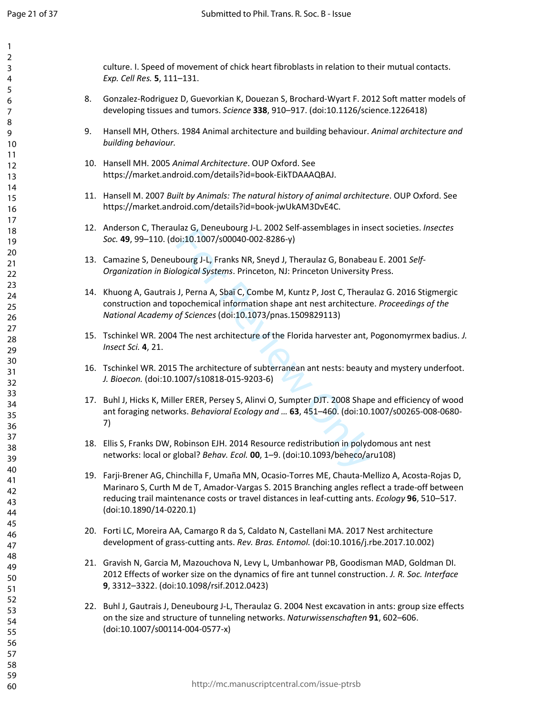| 1<br>$\overline{c}$ |  |
|---------------------|--|
| 3                   |  |
| 4<br>5              |  |
| 6                   |  |
| 8                   |  |
| 9                   |  |
| 10<br>1<br>1        |  |
| $\overline{12}$     |  |
| 13<br>14            |  |
| 15                  |  |
| 16                  |  |
| 17<br>18            |  |
| 19<br>20            |  |
| $\overline{21}$     |  |
| $^{22}$<br>23       |  |
| 24                  |  |
| 25                  |  |
| 26<br>27            |  |
| 28                  |  |
| 29<br>30            |  |
| 31                  |  |
| 32<br>33            |  |
| 34                  |  |
| 35<br>36            |  |
| 37                  |  |
| 38<br>39            |  |
| 40                  |  |
| 41<br>42            |  |
| 43                  |  |
| 44<br>45            |  |
| 46                  |  |
| 47<br>48            |  |
| 49                  |  |
| 50<br>51            |  |
| 52                  |  |
| 53<br>54            |  |
| 55                  |  |
| 56<br>57            |  |
| 58                  |  |
| 59<br>60            |  |

culture. I. Speed of movement of chick heart fibroblasts in relation to their mutual contacts. *Exp. Cell Res.* **5**, 111–131.

- 8. Gonzalez-Rodriguez D, Guevorkian K, Douezan S, Brochard-Wyart F. 2012 Soft matter models of developing tissues and tumors. *Science* **338**, 910–917. (doi:10.1126/science.1226418)
- 9. Hansell MH, Others. 1984 Animal architecture and building behaviour. *Animal architecture and building behaviour.*
- 10. Hansell MH. 2005 *Animal Architecture*. OUP Oxford. See https://market.android.com/details?id=book-EikTDAAAQBAJ.
- 11. Hansell M. 2007 *Built by Animals: The natural history of animal architecture*. OUP Oxford. See https://market.android.com/details?id=book-jwUkAM3DvE4C.
- 12. Anderson C, Theraulaz G, Deneubourg J-L. 2002 Self-assemblages in insect societies. *Insectes Soc.* **49**, 99–110. (doi:10.1007/s00040-002-8286-y)
- 13. Camazine S, Deneubourg J-L, Franks NR, Sneyd J, Theraulaz G, Bonabeau E. 2001 *Self-Organization in Biological Systems*. Princeton, NJ: Princeton University Press.
- and G, berleubourg J-L: 2002 Sen-assemblages in instantion.<br>0.10.1007/s00040-002-8286-y)<br>bourg J-L, Franks NR, Sneyd J, Theraulaz G, Bonabea<br>*logical Systems*. Princeton, NJ: Princeton University<br>J, Perna A, Sbaï C, Combe 14. Khuong A, Gautrais J, Perna A, Sbaï C, Combe M, Kuntz P, Jost C, Theraulaz G. 2016 Stigmergic construction and topochemical information shape ant nest architecture. *Proceedings of the National Academy of Sciences* (doi:10.1073/pnas.1509829113)
- 15. Tschinkel WR. 2004 The nest architecture of the Florida harvester ant, Pogonomyrmex badius. *J. Insect Sci.* **4**, 21.
- 16. Tschinkel WR. 2015 The architecture of subterranean ant nests: beauty and mystery underfoot. *J. Bioecon.* (doi:10.1007/s10818-015-9203-6)
- 17. Buhl J, Hicks K, Miller ERER, Persey S, Alinvi O, Sumpter DJT. 2008 Shape and efficiency of wood ant foraging networks. *Behavioral Ecology and …* **63**, 451–460. (doi:10.1007/s00265-008-0680- 7)
- 18. Ellis S, Franks DW, Robinson EJH. 2014 Resource redistribution in polydomous ant nest networks: local or global? *Behav. Ecol.* **00**, 1–9. (doi:10.1093/beheco/aru108)
- 19. Farji-Brener AG, Chinchilla F, Umaña MN, Ocasio-Torres ME, Chauta-Mellizo A, Acosta-Rojas D, Marinaro S, Curth M de T, Amador-Vargas S. 2015 Branching angles reflect a trade-off between reducing trail maintenance costs or travel distances in leaf-cutting ants. *Ecology* **96**, 510–517. (doi:10.1890/14-0220.1)
- 20. Forti LC, Moreira AA, Camargo R da S, Caldato N, Castellani MA. 2017 Nest architecture development of grass-cutting ants. *Rev. Bras. Entomol.* (doi:10.1016/j.rbe.2017.10.002)
- 21. Gravish N, Garcia M, Mazouchova N, Levy L, Umbanhowar PB, Goodisman MAD, Goldman DI. 2012 Effects of worker size on the dynamics of fire ant tunnel construction. *J. R. Soc. Interface* **9**, 3312–3322. (doi:10.1098/rsif.2012.0423)
- 22. Buhl J, Gautrais J, Deneubourg J-L, Theraulaz G. 2004 Nest excavation in ants: group size effects on the size and structure of tunneling networks. *Naturwissenschaften* **91**, 602–606. (doi:10.1007/s00114-004-0577-x)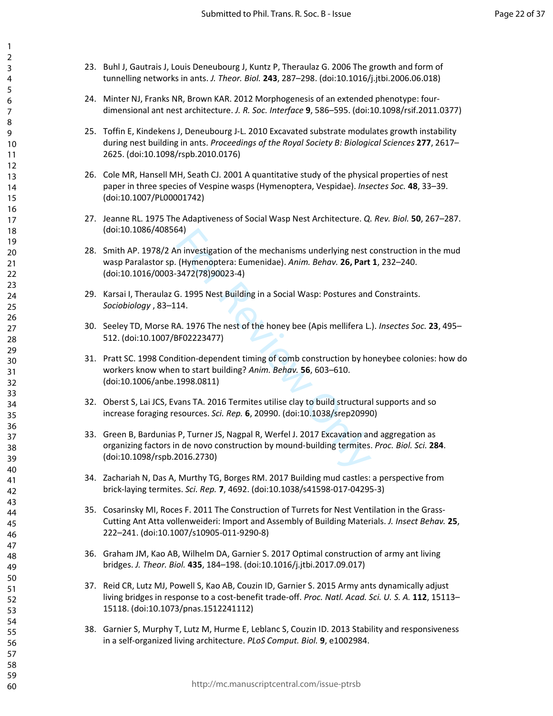- 23. Buhl J, Gautrais J, Louis Deneubourg J, Kuntz P, Theraulaz G. 2006 The growth and form of tunnelling networks in ants. *J. Theor. Biol.* **243**, 287–298. (doi:10.1016/j.jtbi.2006.06.018)
- 24. Minter NJ, Franks NR, Brown KAR. 2012 Morphogenesis of an extended phenotype: fourdimensional ant nest architecture. *J. R. Soc. Interface* **9**, 586–595. (doi:10.1098/rsif.2011.0377)
- 25. Toffin E, Kindekens J, Deneubourg J-L. 2010 Excavated substrate modulates growth instability during nest building in ants. *Proceedings of the Royal Society B: Biological Sciences* **277**, 2617– 2625. (doi:10.1098/rspb.2010.0176)
- 26. Cole MR, Hansell MH, Seath CJ. 2001 A quantitative study of the physical properties of nest paper in three species of Vespine wasps (Hymenoptera, Vespidae). *Insectes Soc.* **48**, 33–39. (doi:10.1007/PL00001742)
- 27. Jeanne RL. 1975 The Adaptiveness of Social Wasp Nest Architecture. *Q. Rev. Biol.* **50**, 267–287. (doi:10.1086/408564)
- 94)<br>
In investigation of the mechanisms underlying nest (Hymenoptera: Eumenidae). *Anim. Behav.* **26, Part**<br>
3472(78)90023-4)<br>
5. 1995 Nest Building in a Social Wasp: Postures and<br>
14.<br>
A. 1976 The nest of the honey bee (A 28. Smith AP. 1978/2 An investigation of the mechanisms underlying nest construction in the mud wasp Paralastor sp. (Hymenoptera: Eumenidae). *Anim. Behav.* **26, Part 1**, 232–240. (doi:10.1016/0003-3472(78)90023-4)
- 29. Karsai I, Theraulaz G. 1995 Nest Building in a Social Wasp: Postures and Constraints. *Sociobiology* , 83–114.
- 30. Seeley TD, Morse RA. 1976 The nest of the honey bee (Apis mellifera L.). *Insectes Soc.* **23**, 495– 512. (doi:10.1007/BF02223477)
- 31. Pratt SC. 1998 Condition-dependent timing of comb construction by honeybee colonies: how do workers know when to start building? *Anim. Behav.* **56**, 603–610. (doi:10.1006/anbe.1998.0811)
- 32. Oberst S, Lai JCS, Evans TA. 2016 Termites utilise clay to build structural supports and so increase foraging resources. *Sci. Rep.* **6**, 20990. (doi:10.1038/srep20990)
- 33. Green B, Bardunias P, Turner JS, Nagpal R, Werfel J. 2017 Excavation and aggregation as organizing factors in de novo construction by mound-building termites. *Proc. Biol. Sci.* **284**. (doi:10.1098/rspb.2016.2730)
- 34. Zachariah N, Das A, Murthy TG, Borges RM. 2017 Building mud castles: a perspective from brick-laying termites. *Sci. Rep.* **7**, 4692. (doi:10.1038/s41598-017-04295-3)
- 35. Cosarinsky MI, Roces F. 2011 The Construction of Turrets for Nest Ventilation in the Grass-Cutting Ant Atta vollenweideri: Import and Assembly of Building Materials. *J. Insect Behav.* **25**, 222–241. (doi:10.1007/s10905-011-9290-8)
- 36. Graham JM, Kao AB, Wilhelm DA, Garnier S. 2017 Optimal construction of army ant living bridges. *J. Theor. Biol.* **435**, 184–198. (doi:10.1016/j.jtbi.2017.09.017)
- 37. Reid CR, Lutz MJ, Powell S, Kao AB, Couzin ID, Garnier S. 2015 Army ants dynamically adjust living bridges in response to a cost-benefit trade-off. *Proc. Natl. Acad. Sci. U. S. A.* **112**, 15113– 15118. (doi:10.1073/pnas.1512241112)
- 38. Garnier S, Murphy T, Lutz M, Hurme E, Leblanc S, Couzin ID. 2013 Stability and responsiveness in a self-organized living architecture. *PLoS Comput. Biol.* **9**, e1002984.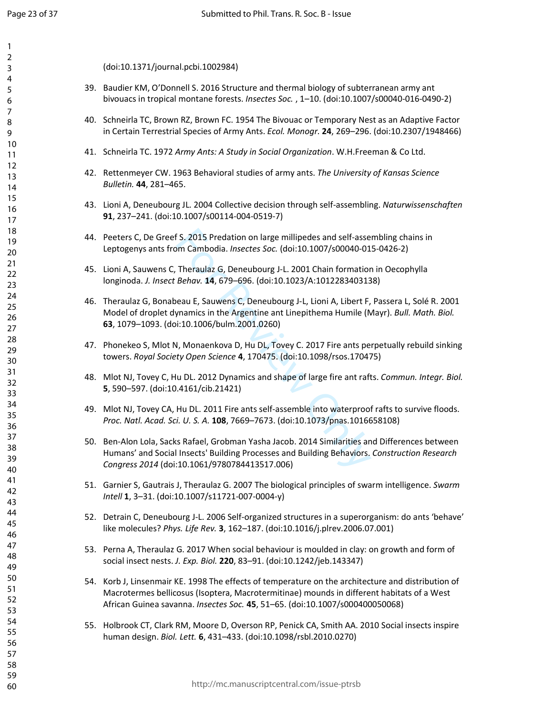$\mathbf{1}$ 

| 1                                          |  |  |
|--------------------------------------------|--|--|
| $\begin{array}{c} 2 \\ 3 \\ 4 \end{array}$ |  |  |
|                                            |  |  |
| 5<br>6<br>7                                |  |  |
|                                            |  |  |
| 8<br>9                                     |  |  |
| 10                                         |  |  |
| 11<br>12                                   |  |  |
| 13                                         |  |  |
| $\overline{14}$                            |  |  |
| 15<br>16                                   |  |  |
| 17                                         |  |  |
| 18<br>19                                   |  |  |
| 20                                         |  |  |
| $\overline{21}$<br>$\overline{22}$         |  |  |
| 23                                         |  |  |
| 24                                         |  |  |
| 25<br>26                                   |  |  |
| 27                                         |  |  |
| 28<br>29                                   |  |  |
| 30                                         |  |  |
| 31<br>32                                   |  |  |
| 33                                         |  |  |
| 34<br>35                                   |  |  |
| 36                                         |  |  |
| 37<br>38                                   |  |  |
| 39                                         |  |  |
| 40                                         |  |  |
| 41<br>42                                   |  |  |
| 43                                         |  |  |
| 44<br>45                                   |  |  |
| 46                                         |  |  |
| 47                                         |  |  |
| 48<br>49                                   |  |  |
| 50                                         |  |  |
| 51<br>52                                   |  |  |
| 53                                         |  |  |
| 54<br>55                                   |  |  |
| 56                                         |  |  |
| 57<br>58                                   |  |  |
| 59                                         |  |  |
| 60                                         |  |  |

(doi:10.1371/journal.pcbi.1002984)

- 39. Baudier KM, O'Donnell S. 2016 Structure and thermal biology of subterranean army ant bivouacs in tropical montane forests. *Insectes Soc.* , 1–10. (doi:10.1007/s00040-016-0490-2)
- 40. Schneirla TC, Brown RZ, Brown FC. 1954 The Bivouac or Temporary Nest as an Adaptive Factor in Certain Terrestrial Species of Army Ants. *Ecol. Monogr.* **24**, 269–296. (doi:10.2307/1948466)
- 41. Schneirla TC. 1972 *Army Ants: A Study in Social Organization*. W.H.Freeman & Co Ltd.
- 42. Rettenmeyer CW. 1963 Behavioral studies of army ants. *The University of Kansas Science Bulletin.* **44**, 281–465.
- 43. Lioni A, Deneubourg JL. 2004 Collective decision through self-assembling. *Naturwissenschaften* **91**, 237–241. (doi:10.1007/s00114-004-0519-7)
- 44. Peeters C, De Greef S. 2015 Predation on large millipedes and self-assembling chains in Leptogenys ants from Cambodia. *Insectes Soc.* (doi:10.1007/s00040-015-0426-2)
- 45. Lioni A, Sauwens C, Theraulaz G, Deneubourg J-L. 2001 Chain formation in Oecophylla longinoda. *J. Insect Behav.* **14**, 679–696. (doi:10.1023/A:1012283403138)
- FS. 2015 Predation on large millipedes and self-asse<br>
om Cambodia. *Insectes Soc.* (doi:10.1007/s00040-01<br>
Theraulaz G, Deneubourg J-L. 2001 Chain formatior<br> *Behav.* **14**, 679–696. (doi:10.1023/A:101228340313<br>
eau E, Sau 46. Theraulaz G, Bonabeau E, Sauwens C, Deneubourg J-L, Lioni A, Libert F, Passera L, Solé R. 2001 Model of droplet dynamics in the Argentine ant Linepithema Humile (Mayr). *Bull. Math. Biol.* **63**, 1079–1093. (doi:10.1006/bulm.2001.0260)
- 47. Phonekeo S, Mlot N, Monaenkova D, Hu DL, Tovey C. 2017 Fire ants perpetually rebuild sinking towers. *Royal Society Open Science* **4**, 170475. (doi:10.1098/rsos.170475)
- 48. Mlot NJ, Tovey C, Hu DL. 2012 Dynamics and shape of large fire ant rafts. *Commun. Integr. Biol.* **5**, 590–597. (doi:10.4161/cib.21421)
- 49. Mlot NJ, Tovey CA, Hu DL. 2011 Fire ants self-assemble into waterproof rafts to survive floods. *Proc. Natl. Acad. Sci. U. S. A.* **108**, 7669–7673. (doi:10.1073/pnas.1016658108)
- 50. Ben-Alon Lola, Sacks Rafael, Grobman Yasha Jacob. 2014 Similarities and Differences between Humans' and Social Insects' Building Processes and Building Behaviors. *Construction Research Congress 2014* (doi:10.1061/9780784413517.006)
- 51. Garnier S, Gautrais J, Theraulaz G. 2007 The biological principles of swarm intelligence. *Swarm Intell* **1**, 3–31. (doi:10.1007/s11721-007-0004-y)
- 52. Detrain C, Deneubourg J-L. 2006 Self-organized structures in a superorganism: do ants 'behave' like molecules? *Phys. Life Rev.* **3**, 162–187. (doi:10.1016/j.plrev.2006.07.001)
- 53. Perna A, Theraulaz G. 2017 When social behaviour is moulded in clay: on growth and form of social insect nests. *J. Exp. Biol.* **220**, 83–91. (doi:10.1242/jeb.143347)
- 54. Korb J, Linsenmair KE. 1998 The effects of temperature on the architecture and distribution of Macrotermes bellicosus (Isoptera, Macrotermitinae) mounds in different habitats of a West African Guinea savanna. *Insectes Soc.* **45**, 51–65. (doi:10.1007/s000400050068)
- 55. Holbrook CT, Clark RM, Moore D, Overson RP, Penick CA, Smith AA. 2010 Social insects inspire human design. *Biol. Lett.* **6**, 431–433. (doi:10.1098/rsbl.2010.0270)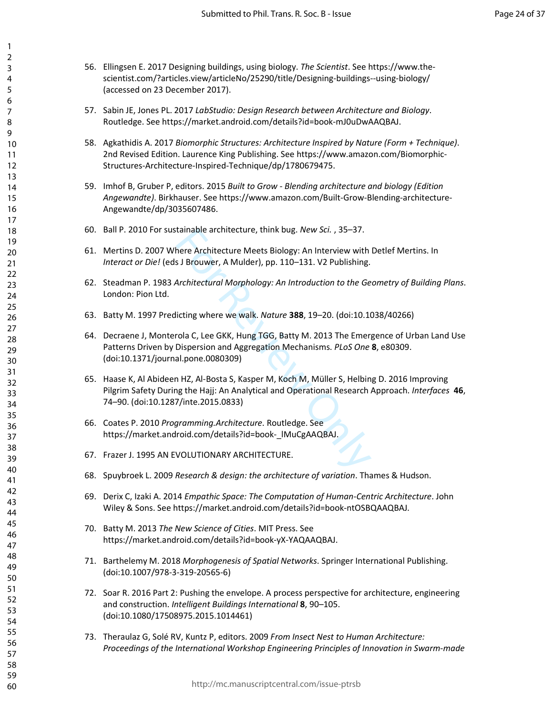- 56. Ellingsen E. 2017 Designing buildings, using biology. *The Scientist*. See https://www.thescientist.com/?articles.view/articleNo/25290/title/Designing-buildings--using-biology/ (accessed on 23 December 2017).
- 57. Sabin JE, Jones PL. 2017 *LabStudio: Design Research between Architecture and Biology*. Routledge. See https://market.android.com/details?id=book-mJ0uDwAAQBAJ.
- 58. Agkathidis A. 2017 *Biomorphic Structures: Architecture Inspired by Nature (Form + Technique)*. 2nd Revised Edition. Laurence King Publishing. See https://www.amazon.com/Biomorphic-Structures-Architecture-Inspired-Technique/dp/1780679475.
- 59. Imhof B, Gruber P, editors. 2015 *Built to Grow Blending architecture and biology (Edition Angewandte)*. Birkhauser. See https://www.amazon.com/Built-Grow-Blending-architecture-Angewandte/dp/3035607486.
- 60. Ball P. 2010 For sustainable architecture, think bug. *New Sci.* , 35–37.

- 61. Mertins D. 2007 Where Architecture Meets Biology: An Interview with Detlef Mertins. In *Interact or Die!* (eds J Brouwer, A Mulder), pp. 110–131. V2 Publishing.
- 62. Steadman P. 1983 *Architectural Morphology: An Introduction to the Geometry of Building Plans*. London: Pion Ltd.
- 63. Batty M. 1997 Predicting where we walk. *Nature* **388**, 19–20. (doi:10.1038/40266)
- 64. Decraene J, Monterola C, Lee GKK, Hung TGG, Batty M. 2013 The Emergence of Urban Land Use Patterns Driven by Dispersion and Aggregation Mechanisms. *PLoS One* **8**, e80309. (doi:10.1371/journal.pone.0080309)
- tainable architecture, think bug. New Sci., 35–37.<br>
here Architecture Meets Biology: An Interview with<br>
5 J Brouwer, A Mulder), pp. 110–131. V2 Publishing.<br>
Architectural Morphology: An Introduction to the Ge<br>
icting where 65. Haase K, Al Abideen HZ, Al-Bosta S, Kasper M, Koch M, Müller S, Helbing D. 2016 Improving Pilgrim Safety During the Hajj: An Analytical and Operational Research Approach. *Interfaces* **46**, 74–90. (doi:10.1287/inte.2015.0833)
- 66. Coates P. 2010 *Programming.Architecture*. Routledge. See https://market.android.com/details?id=book-\_IMuCgAAQBAJ.
- 67. Frazer J. 1995 AN EVOLUTIONARY ARCHITECTURE.
- 68. Spuybroek L. 2009 *Research & design: the architecture of variation*. Thames & Hudson.
- 69. Derix C, Izaki A. 2014 *Empathic Space: The Computation of Human-Centric Architecture*. John Wiley & Sons. See https://market.android.com/details?id=book-ntOSBQAAQBAJ.
- 70. Batty M. 2013 *The New Science of Cities*. MIT Press. See https://market.android.com/details?id=book-yX-YAQAAQBAJ.
- 71. Barthelemy M. 2018 *Morphogenesis of Spatial Networks*. Springer International Publishing. (doi:10.1007/978-3-319-20565-6)
- 72. Soar R. 2016 Part 2: Pushing the envelope. A process perspective for architecture, engineering and construction. *Intelligent Buildings International* **8**, 90–105. (doi:10.1080/17508975.2015.1014461)
- 73. Theraulaz G, Solé RV, Kuntz P, editors. 2009 *From Insect Nest to Human Architecture: Proceedings of the International Workshop Engineering Principles of Innovation in Swarm-made*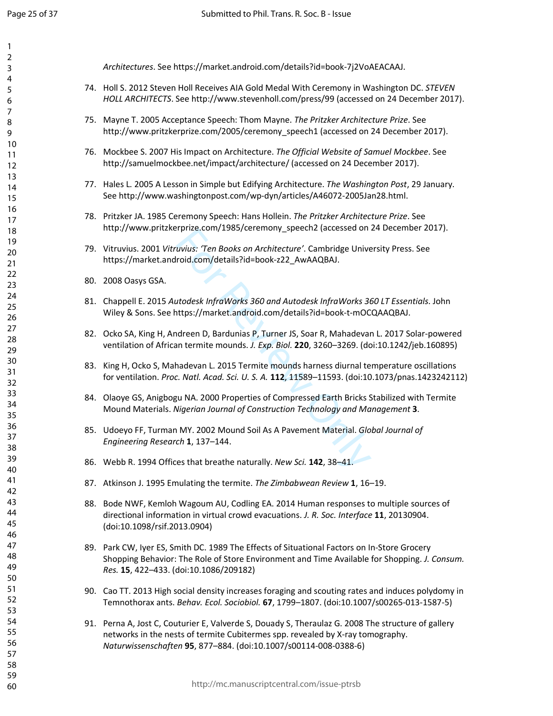| 123456789                              |  |                                                |
|----------------------------------------|--|------------------------------------------------|
|                                        |  |                                                |
|                                        |  | <b>.</b>                                       |
|                                        |  | <b>.</b>                                       |
| 10                                     |  |                                                |
|                                        |  | <b>.</b>                                       |
|                                        |  | <b>.</b>                                       |
|                                        |  |                                                |
|                                        |  | <b>.</b>                                       |
| 11 12 13 14 15 16 17 18 19 20 21 22 23 |  | <b>.</b>                                       |
|                                        |  |                                                |
|                                        |  | i                                              |
| 24<br>25<br>26                         |  | $\ddot{\phantom{0}}$                           |
| $\overline{27}$<br>28                  |  | i                                              |
| 29                                     |  |                                                |
|                                        |  | i                                              |
| 30 31 32 33 34 35 36 37                |  | i                                              |
|                                        |  |                                                |
| 38                                     |  | i                                              |
| 39<br>40                               |  | i                                              |
| 41<br>42                               |  | i                                              |
| 43<br>44                               |  | i                                              |
| 45<br>46                               |  |                                                |
| 47<br>48                               |  | i                                              |
| 49<br>50                               |  |                                                |
| 51<br>52                               |  | ֧֦֧֖֧֧ׅ֧֧֧֪֧֧֧֚֚֚֚֚֚֚֚֚֚֚֚֚֚֚֚֬֝֝֘֜֝֬֝֬֝֬֝֝֬֝֬ |
| 53                                     |  |                                                |
| 54<br>55                               |  | $\overline{\phantom{a}}$                       |
| 56<br>57                               |  |                                                |
| 58<br>59                               |  |                                                |

*Architectures*. See https://market.android.com/details?id=book-7j2VoAEACAAJ.

- 74. Holl S. 2012 Steven Holl Receives AIA Gold Medal With Ceremony in Washington DC. *STEVEN HOLL ARCHITECTS*. See http://www.stevenholl.com/press/99 (accessed on 24 December 2017).
- 75. Mayne T. 2005 Acceptance Speech: Thom Mayne. *The Pritzker Architecture Prize*. See http://www.pritzkerprize.com/2005/ceremony\_speech1 (accessed on 24 December 2017).
- 76. Mockbee S. 2007 His Impact on Architecture. *The Official Website of Samuel Mockbee*. See http://samuelmockbee.net/impact/architecture/ (accessed on 24 December 2017).
- 77. Hales L. 2005 A Lesson in Simple but Edifying Architecture. *The Washington Post*, 29 January. See http://www.washingtonpost.com/wp-dyn/articles/A46072-2005Jan28.html.
- 78. Pritzker JA. 1985 Ceremony Speech: Hans Hollein. *The Pritzker Architecture Prize*. See http://www.pritzkerprize.com/1985/ceremony\_speech2 (accessed on 24 December 2017).
- riprize.com/1983/ceremony\_speecir2 (accessed on:<br>
uvius: 'Ten Books on Architecture'. Cambridge Unive<br>
roid.com/details?id=book-z22\_AwAAQBAJ.<br>
utodesk InfraWorks 360 and Autodesk InfraWorks 36<br>
utodesk InfraWorks 360 and A 79. Vitruvius. 2001 *Vitruvius: 'Ten Books on Architecture'*. Cambridge University Press. See https://market.android.com/details?id=book-z22\_AwAAQBAJ.
- 80. 2008 Oasys GSA.
- 81. Chappell E. 2015 *Autodesk InfraWorks 360 and Autodesk InfraWorks 360 LT Essentials*. John Wiley & Sons. See https://market.android.com/details?id=book-t-mOCQAAQBAJ.
- 82. Ocko SA, King H, Andreen D, Bardunias P, Turner JS, Soar R, Mahadevan L. 2017 Solar-powered ventilation of African termite mounds. *J. Exp. Biol.* **220**, 3260–3269. (doi:10.1242/jeb.160895)
- 83. King H, Ocko S, Mahadevan L. 2015 Termite mounds harness diurnal temperature oscillations for ventilation. *Proc. Natl. Acad. Sci. U. S. A.* **112**, 11589–11593. (doi:10.1073/pnas.1423242112)
- 84. Olaoye GS, Anigbogu NA. 2000 Properties of Compressed Earth Bricks Stabilized with Termite Mound Materials. *Nigerian Journal of Construction Technology and Management* **3**.
- 85. Udoeyo FF, Turman MY. 2002 Mound Soil As A Pavement Material. *Global Journal of Engineering Research* **1**, 137–144.
- 86. Webb R. 1994 Offices that breathe naturally. *New Sci.* **142**, 38–41.
- 87. Atkinson J. 1995 Emulating the termite. *The Zimbabwean Review* **1**, 16–19.
- 88. Bode NWF, Kemloh Wagoum AU, Codling EA. 2014 Human responses to multiple sources of directional information in virtual crowd evacuations. *J. R. Soc. Interface* **11**, 20130904. (doi:10.1098/rsif.2013.0904)
- 89. Park CW, Iyer ES, Smith DC. 1989 The Effects of Situational Factors on In-Store Grocery Shopping Behavior: The Role of Store Environment and Time Available for Shopping. *J. Consum. Res.* **15**, 422–433. (doi:10.1086/209182)
- 90. Cao TT. 2013 High social density increases foraging and scouting rates and induces polydomy in Temnothorax ants. *Behav. Ecol. Sociobiol.* **67**, 1799–1807. (doi:10.1007/s00265-013-1587-5)
- 91. Perna A, Jost C, Couturier E, Valverde S, Douady S, Theraulaz G. 2008 The structure of gallery networks in the nests of termite Cubitermes spp. revealed by X-ray tomography. *Naturwissenschaften* **95**, 877–884. (doi:10.1007/s00114-008-0388-6)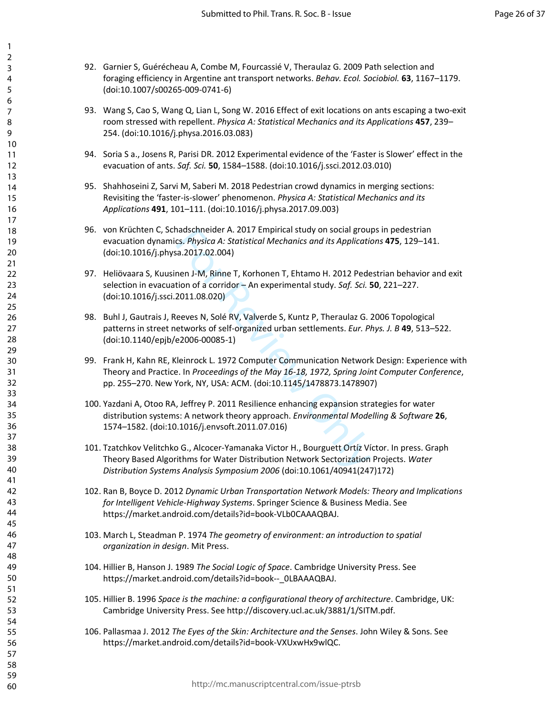92. Garnier S, Guérécheau A, Combe M, Fourcassié V, Theraulaz G. 2009 Path selection and foraging efficiency in Argentine ant transport networks. *Behav. Ecol. Sociobiol.* **63**, 1167–1179. (doi:10.1007/s00265-009-0741-6)

- 93. Wang S, Cao S, Wang Q, Lian L, Song W. 2016 Effect of exit locations on ants escaping a two-exit room stressed with repellent. *Physica A: Statistical Mechanics and its Applications* **457**, 239– 254. (doi:10.1016/j.physa.2016.03.083)
- 94. Soria S a., Josens R, Parisi DR. 2012 Experimental evidence of the 'Faster is Slower' effect in the evacuation of ants. *Saf. Sci.* **50**, 1584–1588. (doi:10.1016/j.ssci.2012.03.010)
- 95. Shahhoseini Z, Sarvi M, Saberi M. 2018 Pedestrian crowd dynamics in merging sections: Revisiting the 'faster-is-slower' phenomenon. *Physica A: Statistical Mechanics and its Applications* **491**, 101–111. (doi:10.1016/j.physa.2017.09.003)
- 96. von Krüchten C, Schadschneider A. 2017 Empirical study on social groups in pedestrian evacuation dynamics. *Physica A: Statistical Mechanics and its Applications* **475**, 129–141. (doi:10.1016/j.physa.2017.02.004)
- 97. Heliövaara S, Kuusinen J-M, Rinne T, Korhonen T, Ehtamo H. 2012 Pedestrian behavior and exit selection in evacuation of a corridor – An experimental study. *Saf. Sci.* **50**, 221–227. (doi:10.1016/j.ssci.2011.08.020)
- 98. Buhl J, Gautrais J, Reeves N, Solé RV, Valverde S, Kuntz P, Theraulaz G. 2006 Topological patterns in street networks of self-organized urban settlements. *Eur. Phys. J. B* **49**, 513–522. (doi:10.1140/epjb/e2006-00085-1)
- aadschneider A. 2017 Empirical study on social groups.<br>
Englistical Activitical Mechanics and its Application<br>
1970-202004)<br>
Henrica Activitical Mechanics and its Application<br>
1970-202004)<br>

Henrica Corridor An experimen 99. Frank H, Kahn RE, Kleinrock L. 1972 Computer Communication Network Design: Experience with Theory and Practice. In *Proceedings of the May 16-18, 1972, Spring Joint Computer Conference*, pp. 255–270. New York, NY, USA: ACM. (doi:10.1145/1478873.1478907)
- 100. Yazdani A, Otoo RA, Jeffrey P. 2011 Resilience enhancing expansion strategies for water distribution systems: A network theory approach. *Environmental Modelling & Software* **26**, 1574–1582. (doi:10.1016/j.envsoft.2011.07.016)
- 101. Tzatchkov Velitchko G., Alcocer-Yamanaka Victor H., Bourguett Ortíz Víctor. In press. Graph Theory Based Algorithms for Water Distribution Network Sectorization Projects. *Water Distribution Systems Analysis Symposium 2006* (doi:10.1061/40941(247)172)
- 102. Ran B, Boyce D. 2012 *Dynamic Urban Transportation Network Models: Theory and Implications for Intelligent Vehicle-Highway Systems*. Springer Science & Business Media. See https://market.android.com/details?id=book-VLb0CAAAQBAJ.
- 103. March L, Steadman P. 1974 *The geometry of environment: an introduction to spatial organization in design*. Mit Press.
- 104. Hillier B, Hanson J. 1989 *The Social Logic of Space*. Cambridge University Press. See https://market.android.com/details?id=book--\_0LBAAAQBAJ.
- 105. Hillier B. 1996 *Space is the machine: a configurational theory of architecture*. Cambridge, UK: Cambridge University Press. See http://discovery.ucl.ac.uk/3881/1/SITM.pdf.
- 106. Pallasmaa J. 2012 *The Eyes of the Skin: Architecture and the Senses*. John Wiley & Sons. See https://market.android.com/details?id=book-VXUxwHx9wlQC.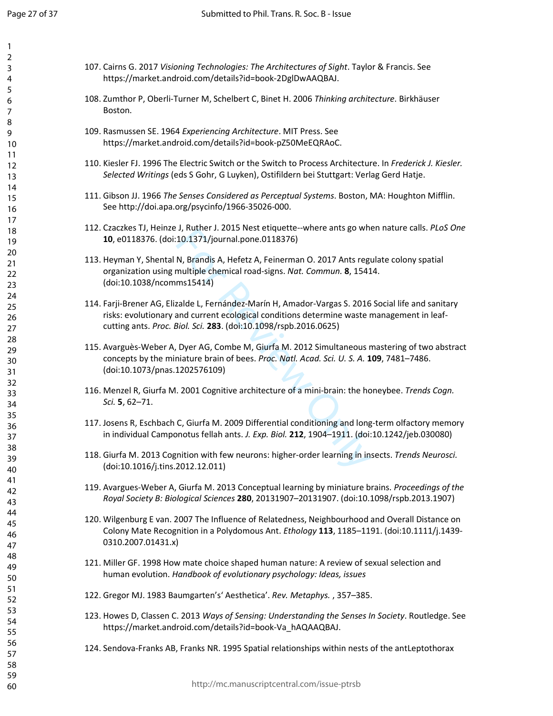| 1<br>$\overline{c}$   |  |
|-----------------------|--|
| 3                     |  |
| 4                     |  |
| 5<br>6                |  |
| 7                     |  |
| 8<br>9                |  |
| 10                    |  |
| 11<br>$\overline{12}$ |  |
| 13                    |  |
| $\frac{1}{4}$         |  |
| 15<br>16              |  |
| 17                    |  |
| 18<br>19              |  |
| 20                    |  |
| $\overline{21}$       |  |
| $\overline{22}$<br>23 |  |
| 24                    |  |
| 25<br>26              |  |
| 27                    |  |
| 28<br>29              |  |
| 30                    |  |
| 31                    |  |
| 32<br>33              |  |
| 34                    |  |
| 35<br>36              |  |
| 37                    |  |
| 38                    |  |
| 39<br>40              |  |
| 41                    |  |
| 42<br>43              |  |
| 44                    |  |
| 45                    |  |
| 46<br>47              |  |
| 48                    |  |
| 49<br>50              |  |
| 51                    |  |
| 52<br>53              |  |
| 54                    |  |
| 55                    |  |
| 56<br>57              |  |
| 58                    |  |
| 59<br>60              |  |
|                       |  |

| 107. Cairns G. 2017 Visioning Technologies: The Architectures of Sight. Taylor & Francis. See |
|-----------------------------------------------------------------------------------------------|
| https://market.android.com/details?id=book-2DglDwAAQBAJ.                                      |

- 108. Zumthor P, Oberli-Turner M, Schelbert C, Binet H. 2006 *Thinking architecture*. Birkhäuser Boston.
- 109. Rasmussen SE. 1964 *Experiencing Architecture*. MIT Press. See https://market.android.com/details?id=book-pZ50MeEQRAoC.
- 110. Kiesler FJ. 1996 The Electric Switch or the Switch to Process Architecture. In *Frederick J. Kiesler. Selected Writings* (eds S Gohr, G Luyken), Ostifildern bei Stuttgart: Verlag Gerd Hatje.
- 111. Gibson JJ. 1966 *The Senses Considered as Perceptual Systems*. Boston, MA: Houghton Mifflin. See http://doi.apa.org/psycinfo/1966-35026-000.
- 112. Czaczkes TJ, Heinze J, Ruther J. 2015 Nest etiquette--where ants go when nature calls. *PLoS One* **10**, e0118376. (doi:10.1371/journal.pone.0118376)
- 113. Heyman Y, Shental N, Brandis A, Hefetz A, Feinerman O. 2017 Ants regulate colony spatial organization using multiple chemical road-signs. *Nat. Commun.* **8**, 15414. (doi:10.1038/ncomms15414)
- 3, Nation 3, 2013 Nest enquette--write ants go wind<br>10.1371/journal.pone.0118376)<br>N, Brandis A, Hefetz A, Feinerman O. 2017 Ants reg<br>multiple chemical road-signs. Nat. Commun. **8**, 1541<br>ms15414)<br>zalde L, Fernández-Marín H, 114. Farji-Brener AG, Elizalde L, Fernández-Marín H, Amador-Vargas S. 2016 Social life and sanitary risks: evolutionary and current ecological conditions determine waste management in leafcutting ants. *Proc. Biol. Sci.* **283**. (doi:10.1098/rspb.2016.0625)
- 115. Avarguès-Weber A, Dyer AG, Combe M, Giurfa M. 2012 Simultaneous mastering of two abstract concepts by the miniature brain of bees. *Proc. Natl. Acad. Sci. U. S. A.* **109**, 7481–7486. (doi:10.1073/pnas.1202576109)
- 116. Menzel R, Giurfa M. 2001 Cognitive architecture of a mini-brain: the honeybee. *Trends Cogn. Sci.* **5**, 62–71.
- 117. Josens R, Eschbach C, Giurfa M. 2009 Differential conditioning and long-term olfactory memory in individual Camponotus fellah ants. *J. Exp. Biol.* **212**, 1904–1911. (doi:10.1242/jeb.030080)
- 118. Giurfa M. 2013 Cognition with few neurons: higher-order learning in insects. *Trends Neurosci.* (doi:10.1016/j.tins.2012.12.011)
- 119. Avargues-Weber A, Giurfa M. 2013 Conceptual learning by miniature brains. *Proceedings of the Royal Society B: Biological Sciences* **280**, 20131907–20131907. (doi:10.1098/rspb.2013.1907)
- 120. Wilgenburg E van. 2007 The Influence of Relatedness, Neighbourhood and Overall Distance on Colony Mate Recognition in a Polydomous Ant. *Ethology* **113**, 1185–1191. (doi:10.1111/j.1439- 0310.2007.01431.x)
- 121. Miller GF. 1998 How mate choice shaped human nature: A review of sexual selection and human evolution. *Handbook of evolutionary psychology: Ideas, issues*
- 122. Gregor MJ. 1983 Baumgarten's' Aesthetica'. *Rev. Metaphys.* , 357–385.
- 123. Howes D, Classen C. 2013 *Ways of Sensing: Understanding the Senses In Societ y*. Routledge. See https://market.android.com/details?id=book-Va\_hAQAAQBAJ.
- 124. Sendova-Franks AB, Franks NR. 1995 Spatial relationships within nests of the antLeptothorax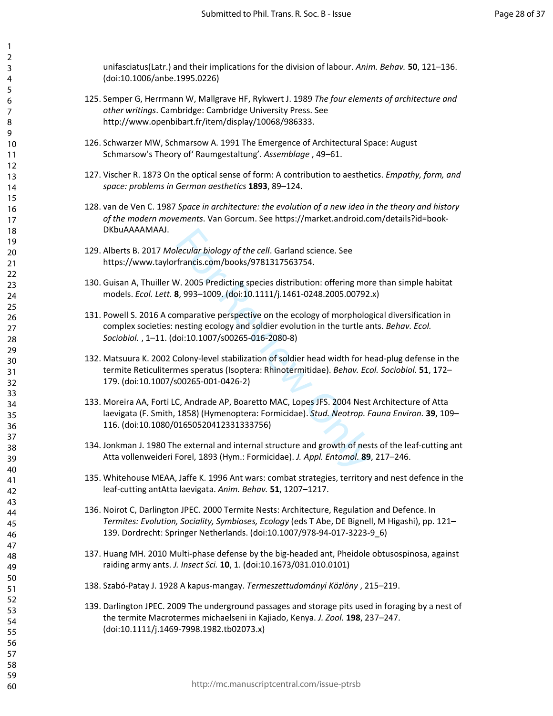unifasciatus(Latr.) and their implications for the division of labour. *Anim. Behav.* **50**, 121–136. (doi:10.1006/anbe.1995.0226)

- 125. Semper G, Herrmann W, Mallgrave HF, Rykwert J. 1989 *The four elements of architecture and other writings*. Cambridge: Cambridge University Press. See http://www.openbibart.fr/item/display/10068/986333.
- 126. Schwarzer MW, Schmarsow A. 1991 The Emergence of Architectural Space: August Schmarsow's Theory of' Raumgestaltung'. *Assemblage* , 49–61.
- 127. Vischer R. 1873 On the optical sense of form: A contribution to aesthetics. *Empathy, form, and space: problems in German aesthetics* **1893**, 89–124.
- 128. van de Ven C. 1987 *Space in architecture: the evolution of a new idea in the theory and history of the modern movements*. Van Gorcum. See https://market.android.com/details?id=book-DKbuAAAAMAAJ.
- 129. Alberts B. 2017 *Molecular biology of the cell*. Garland science. See https://www.taylorfrancis.com/books/9781317563754.

- 130. Guisan A, Thuiller W. 2005 Predicting species distribution: offering more than simple habitat models. *Ecol. Lett.* **8**, 993–1009. (doi:10.1111/j.1461-0248.2005.00792.x)
- lecular biology of the cell. Garland science. See<br>francis.com/books/9781317563754.<br>V. 2005 Predicting species distribution: offering mor<br>8, 993–1009. (doi:10.1111/j.1461-0248.2005.00792.<br>mparative perspective on the ecolog 131. Powell S. 2016 A comparative perspective on the ecology of morphological diversification in complex societies: nesting ecology and soldier evolution in the turtle ants. *Behav. Ecol. Sociobiol.* , 1–11. (doi:10.1007/s00265-016-2080-8)
- 132. Matsuura K. 2002 Colony-level stabilization of soldier head width for head-plug defense in the termite Reticulitermes speratus (Isoptera: Rhinotermitidae). *Behav. Ecol. Sociobiol.* **51**, 172– 179. (doi:10.1007/s00265-001-0426-2)
- 133. Moreira AA, Forti LC, Andrade AP, Boaretto MAC, Lopes JFS. 2004 Nest Architecture of Atta laevigata (F. Smith, 1858) (Hymenoptera: Formicidae). *Stud. Neotrop. Fauna Environ.* **39**, 109– 116. (doi:10.1080/01650520412331333756)
- 134. Jonkman J. 1980 The external and internal structure and growth of nests of the leaf-cutting ant Atta vollenweideri Forel, 1893 (Hym.: Formicidae). *J. Appl. Entomol.* **89**, 217–246.
- 135. Whitehouse MEAA, Jaffe K. 1996 Ant wars: combat strategies, territory and nest defence in the leaf-cutting antAtta laevigata. *Anim. Behav.* **51**, 1207–1217.
- 136. Noirot C, Darlington JPEC. 2000 Termite Nests: Architecture, Regulation and Defence. In *Termites: Evolution, Sociality, Symbioses, Ecology* (eds T Abe, DE Bignell, M Higashi), pp. 121– 139. Dordrecht: Springer Netherlands. (doi:10.1007/978-94-017-3223-9\_6)
- 137. Huang MH. 2010 Multi-phase defense by the big-headed ant, Pheidole obtusospinosa, against raiding army ants. *J. Insect Sci.* **10**, 1. (doi:10.1673/031.010.0101)
- 138. Szabó-Patay J. 1928 A kapus-mangay. *Termeszettudományi Közlöny* , 215–219.
- 139. Darlington JPEC. 2009 The underground passages and storage pits used in foraging by a nest of the termite Macrotermes michaelseni in Kajiado, Kenya. *J. Zool.* **198**, 237–247. (doi:10.1111/j.1469-7998.1982.tb02073.x)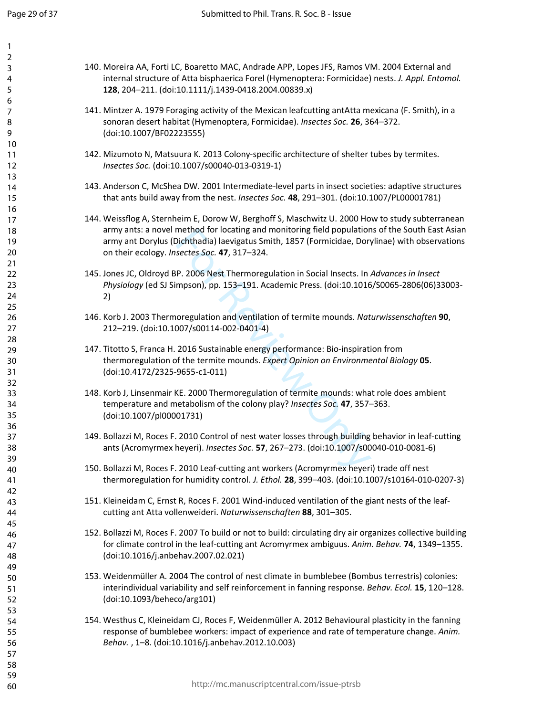$\mathbf{1}$ 

| 1                       |                    |
|-------------------------|--------------------|
| $\overline{\mathbf{c}}$ | 140. Mor           |
| 3<br>4                  | inter              |
| 5                       | 128,               |
| 6                       |                    |
| 7                       | 141. Mint          |
| 8                       | sonc               |
| 9<br>10                 | (doi:              |
| 11                      | 142. Mizu          |
| 12                      | Inser              |
| 13                      |                    |
| 14                      | 143. And<br>that   |
| 15<br>16                |                    |
| 17                      | 144. Weis          |
| 18                      | army               |
| 19                      | army               |
| 20<br>21                | on tl              |
| 22                      | 145. Jone          |
| 23                      | Phys               |
| 24                      | 2)                 |
| 25                      | 146. Korb          |
| 26<br>27                | $212 -$            |
| 28                      |                    |
| 29                      | 147. Titot         |
| 30                      | ther               |
| 31<br>32                | (doi:              |
| 33                      | 148. Korb          |
| 34                      | tem                |
| 35                      | (doi:              |
| 36                      |                    |
| 37<br>38                | 149. Bolla<br>ants |
| 39                      |                    |
| 40                      | 150. Bolla         |
| 41                      | ther               |
| 42                      | 151. Kleir         |
| 43<br>44                | cutti              |
| 45                      |                    |
| 46                      | 152. Bolla         |
| 47                      | for c              |
| 48<br>49                | (doi:              |
| 50                      | 153. Wei           |
| 51                      | inter              |
| 52                      | (doi:              |
| 53                      | 154. Wes           |
| 54<br>55                | resp               |
| 56                      | Beho               |
| 57                      |                    |
| 58                      |                    |
| 59<br>60                |                    |
|                         |                    |

- eira AA, Forti LC, Boaretto MAC, Andrade APP, Lopes JFS, Ramos VM. 2004 External and rnal structure of Atta bisphaerica Forel (Hymenoptera: Formicidae) nests. *J. Appl. Entomol.* **128**, 204–211. (doi:10.1111/j.1439-0418.2004.00839.x)
- tzer A. 1979 Foraging activity of the Mexican leafcutting antAtta mexicana (F. Smith), in a sonoran desert habitat (Hymenoptera, Formicidae). *Insectes Soc.* **26**, 364–372. (doi:10.1007/BF02223555)
- amoto N, Matsuura K. 2013 Colony-specific architecture of shelter tubes by termites. *Insectes Soc.* (doi:10.1007/s00040-013-0319-1)
- erson C, McShea DW. 2001 Intermediate-level parts in insect societies: adaptive structures ants build away from the nest. *Insectes Soc.* **48**, 291-301. (doi:10.1007/PL00001781)
- ssflog A, Sternheim E, Dorow W, Berghoff S, Maschwitz U. 2000 How to study subterranean y ants: a novel method for locating and monitoring field populations of the South East Asian y ant Dorylus (Dichthadia) laevigatus Smith, 1857 (Formicidae, Dorylinae) with observations heir ecology. *Insectes Soc.* 47, 317–324.
- method for locating and monitoring field population<br>Dichthadia) laevigatus Smith, 1857 (Formicidae, Dory<br>sectes Soc. 47, 317–324.<br>P. 2006 Nest Thermoregulation in Social Insects. In *mpson*), pp. 153–191. Academic Press. ( 145. Jones JC, Oldroyd BP. 2006 Nest Thermoregulation in Social Insects. In *Advances in Insect Physiology* (ed SJ Simpson), pp. 153–191. Academic Press. (doi:10.1016/S0065-2806(06)33003-
- 146. Korb J. 2003 Thermoregulation and ventilation of termite mounds. *Naturwissenschaften* **90**, 212–219. (doi:10.1007/s00114-002-0401-4)
- tto S, Franca H. 2016 Sustainable energy performance: Bio-inspiration from moregulation of the termite mounds. *Expert Opinion on Environmental Biology* 05. (doi:10.4172/2325-9655-c1-011)
- 1, Linsenmair KE. 2000 Thermoregulation of termite mounds: what role does ambient perature and metabolism of the colony play? *Insectes Soc.* 47, 357–363. (doi:10.1007/pl00001731)
- azzi M, Roces F. 2010 Control of nest water losses through building behavior in leaf-cutting ants (Acromyrmex heyeri). *Insectes Soc.* **57**, 267–273. (doi:10.1007/s00040-010-0081-6)
- azzi M, Roces F. 2010 Leaf-cutting ant workers (Acromyrmex heyeri) trade off nest thermoregulation for humidity control. *J. Ethol.* **28**, 399–403. (doi:10.1007/s10164-010-0207-3)
- 1eidam C, Ernst R, Roces F. 2001 Wind-induced ventilation of the giant nests of the leafing ant Atta vollenweideri. *Naturwissenschaften* 88, 301–305.
- azzi M, Roces F. 2007 To build or not to build: circulating dry air organizes collective building for climate control in the leaf-cutting ant Acromyrmex ambiguus. *Anim. Behav.* **74**, 1349–1355. (doi:10.1016/j.anbehav.2007.02.021)
- denmüller A. 2004 The control of nest climate in bumblebee (Bombus terrestris) colonies: rindividual variability and self reinforcement in fanning response. *Behav. Ecol.* **15**, 120–128. (doi:10.1093/beheco/arg101)
- thus C, Kleineidam CJ, Roces F, Weidenmüller A. 2012 Behavioural plasticity in the fanning onse of bumblebee workers: impact of experience and rate of temperature change. Anim. *Behav.* , 1–8. (doi:10.1016/j.anbehav.2012.10.003)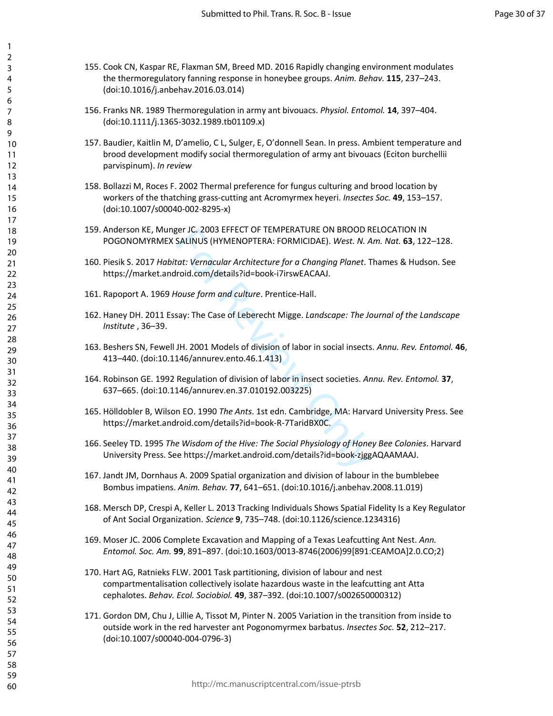- 155. Cook CN, Kaspar RE, Flaxman SM, Breed MD. 2016 Rapidly changing environment modulates the thermoregulatory fanning response in honeybee groups. *Anim. Behav.* **115**, 237–243. (doi:10.1016/j.anbehav.2016.03.014)
- 156. Franks NR. 1989 Thermoregulation in army ant bivouacs. *Physiol. Entomol.* **14**, 397–404. (doi:10.1111/j.1365-3032.1989.tb01109.x)
- 157. Baudier, Kaitlin M, D'amelio, C L, Sulger, E, O'donnell Sean. In press. Ambient temperature and brood development modify social thermoregulation of army ant bivouacs (Eciton burchellii parvispinum). *In review*
- 158. Bollazzi M, Roces F. 2002 Thermal preference for fungus culturing and brood location by workers of the thatching grass-cutting ant Acromyrmex heyeri. *Insectes Soc.* **49**, 153–157. (doi:10.1007/s00040-002-8295-x)
- 159. Anderson KE, Munger JC. 2003 EFFECT OF TEMPERATURE ON BROOD RELOCATION IN POGONOMYRMEX SALINUS (HYMENOPTERA: FORMICIDAE). *West. N. Am. Nat.* **63**, 122–128.
- ger JC. 2003 EFFECT OF TEMPERATURE ON BROOD R<br>SALINUS (HYMENOPTERA: FORMICIDAE). *West. N. A*<br>tat: Vernacular Architecture for a Changing Planet. T<br>roid.com/details?id=book-i7irswEACAAJ.<br>louse form and culture. Prentice-Ha 160. Piesik S. 2017 *Habitat: Vernacular Architecture for a Changing Planet*. Thames & Hudson. See https://market.android.com/details?id=book-i7irswEACAAJ.
- 161. Rapoport A. 1969 *House form and culture*. Prentice-Hall.

- 162. Haney DH. 2011 Essay: The Case of Leberecht Migge. *Landscape: The Journal of the Landscape Institute* , 36–39.
- 163. Beshers SN, Fewell JH. 2001 Models of division of labor in social insects. *Annu. Rev. Entomol.* **46**, 413–440. (doi:10.1146/annurev.ento.46.1.413)
- 164. Robinson GE. 1992 Regulation of division of labor in insect societies. *Annu. Rev. Entomol.* **37**, 637–665. (doi:10.1146/annurev.en.37.010192.003225)
- 165. Hölldobler B, Wilson EO. 1990 *The Ants*. 1st edn. Cambridge, MA: Harvard University Press. See https://market.android.com/details?id=book-R-7TaridBX0C.
- 166. Seeley TD. 1995 *The Wisdom of the Hive: The Social Physiology of Honey Bee Colonies*. Harvard University Press. See https://market.android.com/details?id=book-zjggAQAAMAAJ.
- 167. Jandt JM, Dornhaus A. 2009 Spatial organization and division of labour in the bumblebee Bombus impatiens. *Anim. Behav.* **77**, 641–651. (doi:10.1016/j.anbehav.2008.11.019)
- 168. Mersch DP, Crespi A, Keller L. 2013 Tracking Individuals Shows Spatial Fidelity Is a Key Regulator of Ant Social Organization. *Science* **9**, 735–748. (doi:10.1126/science.1234316)
- 169. Moser JC. 2006 Complete Excavation and Mapping of a Texas Leafcutting Ant Nest. *Ann. Entomol. Soc. Am.* **99**, 891–897. (doi:10.1603/0013-8746(2006)99[891:CEAMOA]2.0.CO;2)
- 170. Hart AG, Ratnieks FLW. 2001 Task partitioning, division of labour and nest compartmentalisation collectively isolate hazardous waste in the leafcutting ant Atta cephalotes. *Behav. Ecol. Sociobiol.* **49**, 387–392. (doi:10.1007/s002650000312)
- 171. Gordon DM, Chu J, Lillie A, Tissot M, Pinter N. 2005 Variation in the transition from inside to outside work in the red harvester ant Pogonomyrmex barbatus. *Insectes Soc.* **52**, 212–217. (doi:10.1007/s00040-004-0796-3)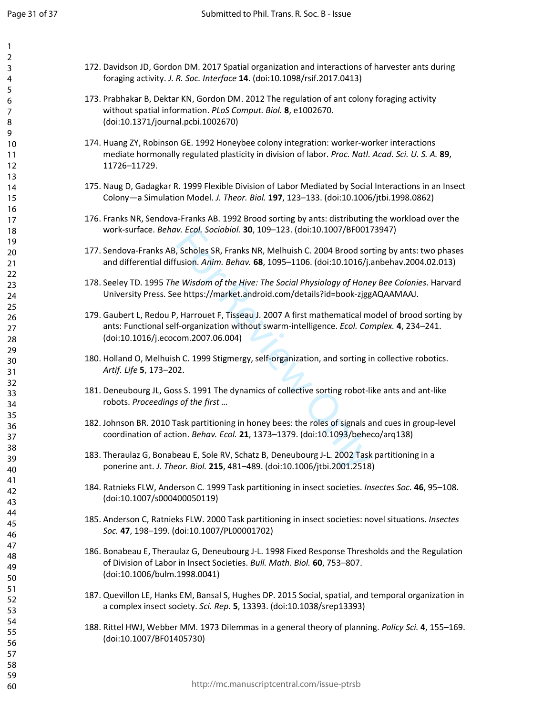- 172. Davidson JD, Gordon DM. 2017 Spatial organization and interactions of harvester ants during foraging activity. *J. R. Soc. Interface* **14**. (doi:10.1098/rsif.2017.0413)
- 173. Prabhakar B, Dektar KN, Gordon DM. 2012 The regulation of ant colony foraging activity without spatial information. *PLoS Comput. Biol.* **8**, e1002670. (doi:10.1371/journal.pcbi.1002670)
- 174. Huang ZY, Robinson GE. 1992 Honeybee colony integration: worker-worker interactions mediate hormonally regulated plasticity in division of labor. *Proc. Natl. Acad. Sci. U. S. A.* **89**, 11726–11729.
- 175. Naug D, Gadagkar R. 1999 Flexible Division of Labor Mediated by Social Interactions in an Insect Colony—a Simulation Model. *J. Theor. Biol.* **197**, 123–133. (doi:10.1006/jtbi.1998.0862)
- 176. Franks NR, Sendova-Franks AB. 1992 Brood sorting by ants: distributing the workload over the work-surface. *Behav. Ecol. Sociobiol.* **30**, 109–123. (doi:10.1007/BF00173947)
- 177. Sendova-Franks AB, Scholes SR, Franks NR, Melhuish C. 2004 Brood sorting by ants: two phases and differential diffusion. *Anim. Behav.* **68**, 1095–1106. (doi:10.1016/j.anbehav.2004.02.013)
- 178. Seeley TD. 1995 *The Wisdom of the Hive: The Social Physiology of Honey Bee Colonies*. Harvard University Press. See https://market.android.com/details?id=book-zjggAQAAMAAJ.
- v. Ecol. Sociobiol. **30**, 109–123. (doi:10.1007/BF001.<br>
Scholes SR, Franks NR, Melhuish C. 2004 Brood sor<br>
usion. Anim. Behav. **68**, 1095–1106. (doi:10.1016/j.i.<br>
e Wisdom of the Hive: The Social Physiology of Hone<br>
e http 179. Gaubert L, Redou P, Harrouet F, Tisseau J. 2007 A first mathematical model of brood sorting by ants: Functional self-organization without swarm-intelligence. *Ecol. Complex.* **4**, 234–241. (doi:10.1016/j.ecocom.2007.06.004)
- 180. Holland O, Melhuish C. 1999 Stigmergy, self-organization, and sorting in collective robotics. *Artif. Life* **5**, 173–202.
- 181. Deneubourg JL, Goss S. 1991 The dynamics of collective sorting robot-like ants and ant-like robots. *Proceedings of the first …*
- 182. Johnson BR. 2010 Task partitioning in honey bees: the roles of signals and cues in group-level coordination of action. *Behav. Ecol.* **21**, 1373–1379. (doi:10.1093/beheco/arq138)
- 183. Theraulaz G, Bonabeau E, Sole RV, Schatz B, Deneubourg J-L. 2002 Task partitioning in a ponerine ant. *J. Theor. Biol.* **215**, 481–489. (doi:10.1006/jtbi.2001.2518)
- 184. Ratnieks FLW, Anderson C. 1999 Task partitioning in insect societies. *Insectes Soc.* **46**, 95–108. (doi:10.1007/s000400050119)
- 185. Anderson C, Ratnieks FLW. 2000 Task partitioning in insect societies: novel situations. *Insectes Soc.* **47**, 198–199. (doi:10.1007/PL00001702)
- 186. Bonabeau E, Theraulaz G, Deneubourg J-L. 1998 Fixed Response Thresholds and the Regulation of Division of Labor in Insect Societies. *Bull. Math. Biol.* **60**, 753–807. (doi:10.1006/bulm.1998.0041)
- 187. Quevillon LE, Hanks EM, Bansal S, Hughes DP. 2015 Social, spatial, and temporal organization in a complex insect society. *Sci. Rep.* **5**, 13393. (doi:10.1038/srep13393)
- 188. Rittel HWJ, Webber MM. 1973 Dilemmas in a general theory of planning. *Policy Sci.* **4**, 155–169. (doi:10.1007/BF01405730)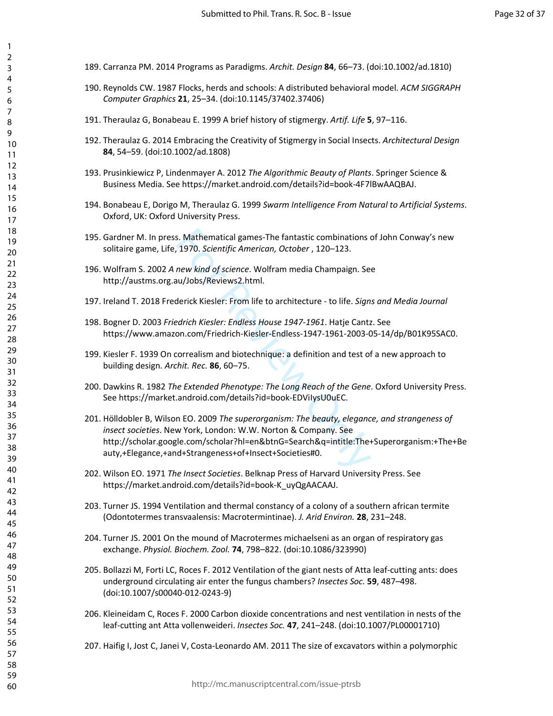- 189. Carranza PM. 2014 Programs as Paradigms. *Archit. Design* **84**, 66–73. (doi:10.1002/ad.1810)
- 190. Reynolds CW. 1987 Flocks, herds and schools: A distributed behavioral model. *ACM SIGGRAPH Computer Graphics* **21**, 25–34. (doi:10.1145/37402.37406)
- 191. Theraulaz G, Bonabeau E. 1999 A brief history of stigmergy. *Artif. Life* **5**, 97–116.

- 192. Theraulaz G. 2014 Embracing the Creativity of Stigmergy in Social Insects. *Architectural Design* , 54–59. (doi:10.1002/ad.1808)
- 193. Prusinkiewicz P, Lindenmayer A. 2012 *The Algorithmic Beauty of Plants*. Springer Science & Business Media. See https://market.android.com/details?id=book-4F7lBwAAQBAJ.
- 194. Bonabeau E, Dorigo M, Theraulaz G. 1999 *Swarm Intelligence From Natural to Artificial Systems*. Oxford, UK: Oxford University Press.
- 195. Gardner M. In press. Mathematical games-The fantastic combinations of John Conway's new solitaire game, Life, 1970. *Scientific American, October* , 120–123.
- 196. Wolfram S. 2002 *A new kind of science*. Wolfram media Champaign. See http://austms.org.au/Jobs/Reviews2.html.
- 197. Ireland T. 2018 Frederick Kiesler: From life to architecture to life. *Signs and Media Journal*
- 198. Bogner D. 2003 *Friedrich Kiesler: Endless House 1947-1961*. Hatje Cantz. See https://www.amazon.com/Friedrich-Kiesler-Endless-1947-1961-2003-05-14/dp/B01K95SAC0.
- 199. Kiesler F. 1939 On correalism and biotechnique: a definition and test of a new approach to building design. *Archit. Rec.* **86**, 60–75.
- 200. Dawkins R. 1982 *The Extended Phenotype: The Long Reach of the Gene*. Oxford University Press. See https://market.android.com/details?id=book-EDViIysU0uEC.
- s. Mathematical games-The fantastic combinations of<br>1970. *Scientific American, October* , 120–123.<br>
new kind of science. Wolfram media Champaign. Se<br>
selu/Jobs/Reviews2.html.<br>
derick Kiesler: From life to architecture t 201. Hölldobler B, Wilson EO. 2009 *The superorganism: The beauty, elegance, and strangeness of insect societies*. New York, London: W.W. Norton & Company. See http://scholar.google.com/scholar?hl=en&btnG=Search&q=intitle:The+Superorganism:+The+Be auty,+Elegance,+and+Strangeness+of+Insect+Societies#0.
- 202. Wilson EO. 1971 *The Insect Societies*. Belknap Press of Harvard University Press. See https://market.android.com/details?id=book-K\_uyQgAACAAJ.
- 203. Turner JS. 1994 Ventilation and thermal constancy of a colony of a southern african termite (Odontotermes transvaalensis: Macrotermintinae). *J. Arid Environ.* **28**, 231–248.
- 204. Turner JS. 2001 On the mound of Macrotermes michaelseni as an organ of respiratory gas exchange. *Physiol. Biochem. Zool.* **74**, 798–822. (doi:10.1086/323990)
- 205. Bollazzi M, Forti LC, Roces F. 2012 Ventilation of the giant nests of Atta leaf-cutting ants: does underground circulating air enter the fungus chambers? *Insectes Soc.* **59**, 487–498. (doi:10.1007/s00040-012-0243-9)
- 206. Kleineidam C, Roces F. 2000 Carbon dioxide concentrations and nest ventilation in nests of the leaf-cutting ant Atta vollenweideri. *Insectes Soc.* **47**, 241–248. (doi:10.1007/PL00001710)
- 207. Haifig I, Jost C, Janei V, Costa-Leonardo AM. 2011 The size of excavators within a polymorphic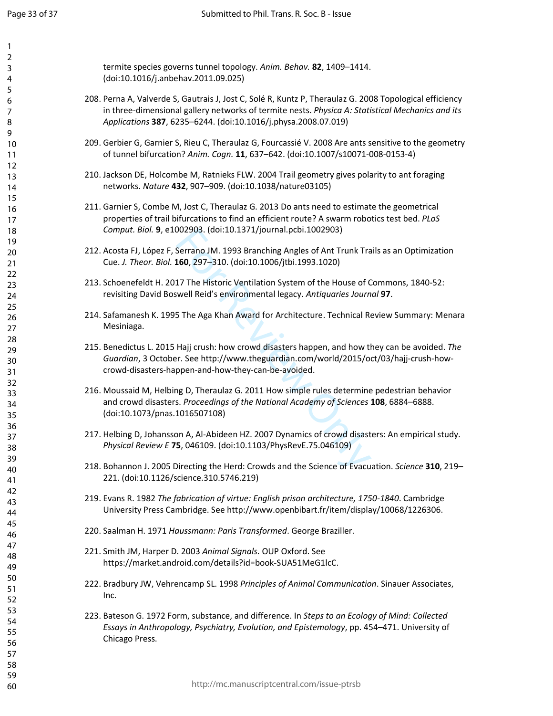termite species governs tunnel topology. *Anim. Behav.* **82**, 1409–1414. (doi:10.1016/j.anbehav.2011.09.025)

- 208. Perna A, Valverde S, Gautrais J, Jost C, Solé R, Kuntz P, Theraulaz G. 2008 Topological efficiency in three-dimensional gallery networks of termite nests. *Physica A: Statistical Mechanics and its Applications* **387**, 6235–6244. (doi:10.1016/j.physa.2008.07.019)
- 209. Gerbier G, Garnier S, Rieu C, Theraulaz G, Fourcassié V. 2008 Are ants sensitive to the geometry of tunnel bifurcation? *Anim. Cogn.* **11**, 637–642. (doi:10.1007/s10071-008-0153-4)
- 210. Jackson DE, Holcombe M, Ratnieks FLW. 2004 Trail geometry gives polarity to ant foraging networks. *Nature* **432**, 907–909. (doi:10.1038/nature03105)
- 211. Garnier S, Combe M, Jost C, Theraulaz G. 2013 Do ants need to estimate the geometrical properties of trail bifurcations to find an efficient route? A swarm robotics test bed. *PLoS Comput. Biol.* **9**, e1002903. (doi:10.1371/journal.pcbi.1002903)
- 212. Acosta FJ, López F, Serrano JM. 1993 Branching Angles of Ant Trunk Trails as an Optimization Cue. *J. Theor. Biol.* **160**, 297–310. (doi:10.1006/jtbi.1993.1020)
- 213. Schoenefeldt H. 2017 The Historic Ventilation System of the House of Commons, 1840-52: revisiting David Boswell Reid's environmental legacy. *Antiquaries Journal* **97**.
- 214. Safamanesh K. 1995 The Aga Khan Award for Architecture. Technical Review Summary: Menara Mesiniaga.
- 215. Benedictus L. 2015 Hajj crush: how crowd disasters happen, and how they can be avoided. *The Guardian*, 3 October. See http://www.theguardian.com/world/2015/oct/03/hajj-crush-howcrowd-disasters-happen-and-how-they-can-be-avoided.
- 302903. (doi:10.1371/journal.pcbl.1002903)<br>Serrano JM. 1993 Branching Angles of Ant Trunk Tra<br>**160**, 297–310. (doi:10.1006/jtbi.1993.1020)<br>17 The Historic Ventilation System of the House of C<br>well Reid's environmental lega 216. Moussaid M, Helbing D, Theraulaz G. 2011 How simple rules determine pedestrian behavior and crowd disasters. *Proceedings of the National Academy of Sciences* **108**, 6884–6888. (doi:10.1073/pnas.1016507108)
- 217. Helbing D, Johansson A, Al-Abideen HZ. 2007 Dynamics of crowd disasters: An empirical study. *Physical Review E* **75**, 046109. (doi:10.1103/PhysRevE.75.046109)
- 218. Bohannon J. 2005 Directing the Herd: Crowds and the Science of Evacuation. *Science* **310**, 219– 221. (doi:10.1126/science.310.5746.219)
- 219. Evans R. 1982 *The fabrication of virtue: English prison architecture, 1750-1840*. Cambridge University Press Cambridge. See http://www.openbibart.fr/item/display/10068/1226306.
- 220. Saalman H. 1971 *Haussmann: Paris Transformed*. George Braziller.
- 221. Smith JM, Harper D. 2003 *Animal Signals*. OUP Oxford. See https://market.android.com/details?id=book-SUA51MeG1lcC.
- 222. Bradbury JW, Vehrencamp SL. 1998 *Principles of Animal Communication*. Sinauer Associates, Inc.
- 223. Bateson G. 1972 Form, substance, and difference. In *Steps to an Ecology of Mind: Collected Essays in Anthropology, Psychiatry, Evolution, and Epistemology*, pp. 454–471. University of Chicago Press.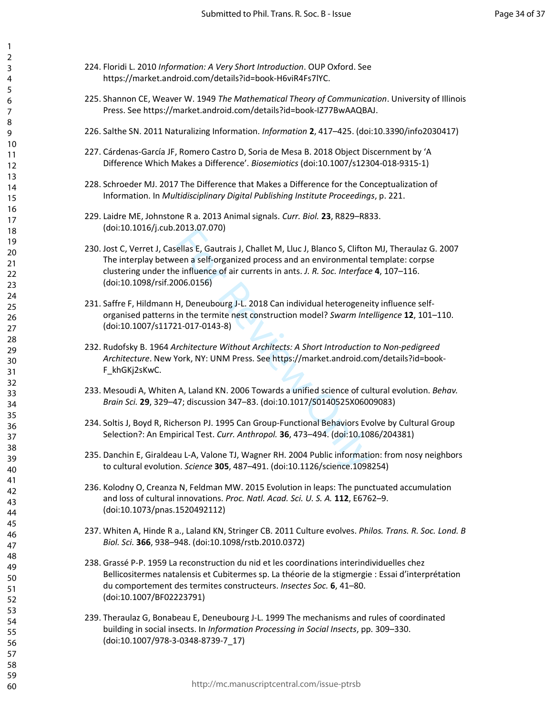224. Floridi L. 2010 *Information: A Very Short Introduction*. OUP Oxford. See https://market.android.com/details?id=book-H6viR4Fs7lYC.

- 225. Shannon CE, Weaver W. 1949 *The Mathematical Theory of Communication*. University of Illinois Press. See https://market.android.com/details?id=book-IZ77BwAAQBAJ.
- 226. Salthe SN. 2011 Naturalizing Information. *Information* **2**, 417–425. (doi:10.3390/info2030417)
- 227. Cárdenas-García JF, Romero Castro D, Soria de Mesa B. 2018 Object Discernment by 'A Difference Which Makes a Difference'. *Biosemiotics* (doi:10.1007/s12304-018-9315-1)
- 228. Schroeder MJ. 2017 The Difference that Makes a Difference for the Conceptualization of Information. In *Multidisciplinary Digital Publishing Institute Proceedings*, p. 221.
- 229. Laidre ME, Johnstone R a. 2013 Animal signals. *Curr. Biol.* **23**, R829–R833. (doi:10.1016/j.cub.2013.07.070)
- 2013.07.0707<br>
ellas E, Gautrais J, Challet M, Lluc J, Blanco S, Clifton<br>
een a self-organized process and an environmental t<br>
influence of air currents in ants. J. R. Soc. Interface<br>
006.0156)<br>
H, Deneubourg J-L. 2018 Can 230. Jost C, Verret J, Casellas E, Gautrais J, Challet M, Lluc J, Blanco S, Clifton MJ, Theraulaz G. 2007 The interplay between a self-organized process and an environmental template: corpse clustering under the influence of air currents in ants. *J. R. Soc. Interface* **4**, 107–116. (doi:10.1098/rsif.2006.0156)
- 231. Saffre F, Hildmann H, Deneubourg J-L. 2018 Can individual heterogeneity influence selforganised patterns in the termite nest construction model? *Swarm Intelligence* **12**, 101–110. (doi:10.1007/s11721-017-0143-8)
- 232. Rudofsky B. 1964 *Architecture Without Architects: A Short Introduction to Non-pedigreed Architecture*. New York, NY: UNM Press. See https://market.android.com/details?id=book-F\_khGKj2sKwC.
- 233. Mesoudi A, Whiten A, Laland KN. 2006 Towards a unified science of cultural evolution. *Behav. Brain Sci.* **29**, 329–47; discussion 347–83. (doi:10.1017/S0140525X06009083)
- 234. Soltis J, Boyd R, Richerson PJ. 1995 Can Group-Functional Behaviors Evolve by Cultural Group Selection?: An Empirical Test. *Curr. Anthropol.* **36**, 473–494. (doi:10.1086/204381)
- 235. Danchin E, Giraldeau L-A, Valone TJ, Wagner RH. 2004 Public information: from nosy neighbors to cultural evolution. *Science* **305**, 487–491. (doi:10.1126/science.1098254)
- 236. Kolodny O, Creanza N, Feldman MW. 2015 Evolution in leaps: The punctuated accumulation and loss of cultural innovations. *Proc. Natl. Acad. Sci. U. S. A.* **112**, E6762–9. (doi:10.1073/pnas.1520492112)
- 237. Whiten A, Hinde R a., Laland KN, Stringer CB. 2011 Culture evolves. *Philos. Trans. R. Soc. Lond. B Biol. Sci.* **366**, 938–948. (doi:10.1098/rstb.2010.0372)
- 238. Grassé P-P. 1959 La reconstruction du nid et les coordinations interindividuelles chez Bellicositermes natalensis et Cubitermes sp. La théorie de la stigmergie : Essai d'interprétation du comportement des termites constructeurs. *Insectes Soc.* **6**, 41–80. (doi:10.1007/BF02223791)
- 239. Theraulaz G, Bonabeau E, Deneubourg J-L. 1999 The mechanisms and rules of coordinated building in social insects. In *Information Processing in Social Insects*, pp. 309–330. (doi:10.1007/978-3-0348-8739-7\_17)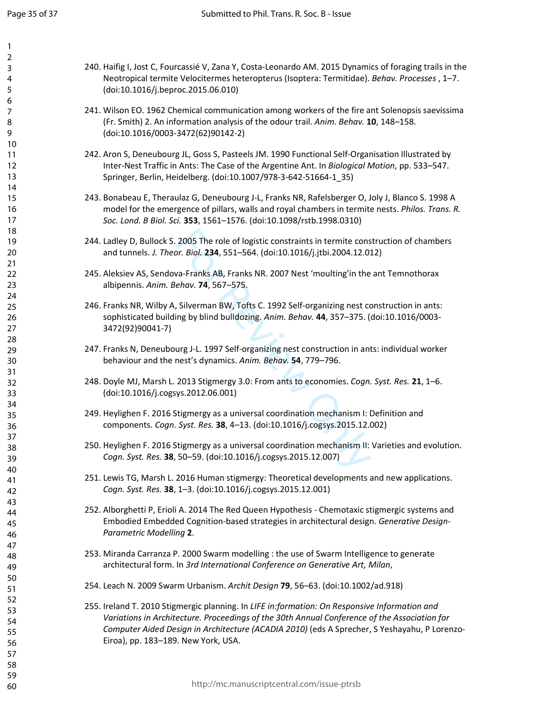| 1234567         |                |
|-----------------|----------------|
|                 | $\mathbf{c}$   |
|                 |                |
|                 |                |
|                 | 2 <sub>4</sub> |
| 8               |                |
| 9               |                |
| 10              |                |
| 11              | 2 <sub>4</sub> |
| 12              |                |
| 13<br>14<br>15  |                |
|                 | 2 <sub>4</sub> |
| 16              |                |
| 17              |                |
| 18              |                |
| 19              | $\overline{c}$ |
| 20<br>21        |                |
| $\overline{22}$ | 2 <sub>4</sub> |
| 23              |                |
| 24              |                |
| 25              | 2 <sub>4</sub> |
| 26<br>27        |                |
| 28              |                |
| 29              | $\mathbf{c}$   |
| 30              |                |
| 31              |                |
| 32<br>33        | 2 <sub>4</sub> |
| 34              |                |
| 35              | $\overline{c}$ |
| 36<br>37        |                |
|                 | 2!             |
| 38<br>39        |                |
| 40              |                |
| 41              | 2!             |
| 42              |                |
| 43              | 2!             |
| 44<br>45        |                |
| 46              |                |
| 47              |                |
| 48              | 2!             |
| 49              |                |
| 50<br>51        | 2!             |
| 52              |                |
| 53              | 2!             |
| 54              |                |
| 55              |                |
| 56              |                |
| 57<br>58        |                |
| 59              |                |
| 60              |                |

- 240. Haifig I, Jost C, Fourcassié V, Zana Y, Costa-Leonardo AM. 2015 Dynamics of foraging trails in the Neotropical termite Velocitermes heteropterus (Isoptera: Termitidae). *Behav. Processes* , 1–7. (doi:10.1016/j.beproc.2015.06.010)
- 241. Wilson EO. 1962 Chemical communication among workers of the fire ant Solenopsis saevissima (Fr. Smith) 2. An information analysis of the odour trail. *Anim. Behav.* **10**, 148–158. (doi:10.1016/0003-3472(62)90142-2)
- 242. Aron S, Deneubourg JL, Goss S, Pasteels JM. 1990 Functional Self-Organisation Illustrated by Inter-Nest Traffic in Ants: The Case of the Argentine Ant. In *Biological Motion*, pp. 533–547. Springer, Berlin, Heidelberg. (doi:10.1007/978-3-642-51664-1\_35)
- 243. Bonabeau E, Theraulaz G, Deneubourg J-L, Franks NR, Rafelsberger O, Joly J, Blanco S. 1998 A model for the emergence of pillars, walls and royal chambers in termite nests. *Philos. Trans. R. Soc. Lond. B Biol. Sci.* **353**, 1561–1576. (doi:10.1098/rstb.1998.0310)
- 244. Ladley D, Bullock S. 2005 The role of logistic constraints in termite construction of chambers and tunnels. *J. Theor. Biol.* **234**, 551–564. (doi:10.1016/j.jtbi.2004.12.012)
- 245. Aleksiev AS, Sendova-Franks AB, Franks NR. 2007 Nest 'moulting'in the ant Temnothorax albipennis. *Anim. Behav.* **74**, 567–575.
- 2005 The role of logistic constraints in termite cons<br> *n. Biol.* **234**, 551–564. (doi:10.1016/j.jtbi.2004.12.01<br> *na*-Franks AB, Franks NR. 2007 Nest 'moulting'in the<br> *ehav.* **74**, 567–575.<br>
Silverman BW, Tofts C. 1992 246. Franks NR, Wilby A, Silverman BW, Tofts C. 1992 Self-organizing nest construction in ants: sophisticated building by blind bulldozing. *Anim. Behav.* **44**, 357–375. (doi:10.1016/0003- 3472(92)90041-7)
- 247. Franks N, Deneubourg J-L. 1997 Self-organizing nest construction in ants: individual worker behaviour and the nest's dynamics. *Anim. Behav.* **54**, 779–796.
- 248. Doyle MJ, Marsh L. 2013 Stigmergy 3.0: From ants to economies. *Cogn. Syst. Res.* **21**, 1–6. (doi:10.1016/j.cogsys.2012.06.001)
- 249. Heylighen F. 2016 Stigmergy as a universal coordination mechanism I: Definition and components. *Cogn. Syst. Res.* **38**, 4–13. (doi:10.1016/j.cogsys.2015.12.002)
- 250. Heylighen F. 2016 Stigmergy as a universal coordination mechanism II: Varieties and evolution. *Cogn. Syst. Res.* **38**, 50–59. (doi:10.1016/j.cogsys.2015.12.007)
- 51. Lewis TG, Marsh L. 2016 Human stigmergy: Theoretical developments and new applications. *Cogn. Syst. Res.* **38**, 1–3. (doi:10.1016/j.cogsys.2015.12.001)
- 52. Alborghetti P, Erioli A. 2014 The Red Queen Hypothesis Chemotaxic stigmergic systems and Embodied Embedded Cognition-based strategies in architectural design. *Generative Design-Parametric Modelling* **2**.
- 253. Miranda Carranza P. 2000 Swarm modelling : the use of Swarm Intelligence to generate architectural form. In *3rd International Conference on Generative Art, Milan*,
- 254. Leach N. 2009 Swarm Urbanism. *Archit Design* **79**, 56–63. (doi:10.1002/ad.918)
- 255. Ireland T. 2010 Stigmergic planning. In *LIFE in:formation: On Responsive Information and Variations in Architecture. Proceedings of the 30th Annual Conference of the Association for Computer Aided Design in Architecture (ACADIA 2010)* (eds A Sprecher, S Yeshayahu, P Lorenzo-Eiroa), pp. 183–189. New York, USA.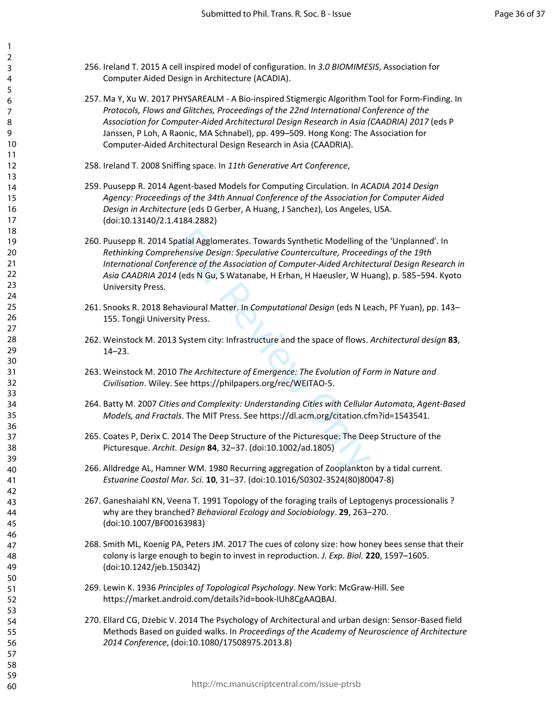- 256. Ireland T. 2015 A cell inspired model of configuration. In *3.0 BIOMIMESIS*, Association for Computer Aided Design in Architecture (ACADIA).
- 257. Ma Y, Xu W. 2017 PHYSAREALM A Bio-inspired Stigmergic Algorithm Tool for Form-Finding. In *Protocols, Flows and Glitches, Proceedings of the 22nd International Conference of the Association for Computer-Aided Architectural Design Research in Asia (CAADRIA) 2017* (eds P Janssen, P Loh, A Raonic, MA Schnabel), pp. 499–509. Hong Kong: The Association for Computer-Aided Architectural Design Research in Asia (CAADRIA).
- 258. Ireland T. 2008 Sniffing space. In *11th Generative Art Conference*,

- 259. Puusepp R. 2014 Agent-based Models for Computing Circulation. In *ACADIA 2014 Design Agency: Proceedings of the 34th Annual Conference of the Association for Computer Aided Design in Architecture* (eds D Gerber, A Huang, J Sanchez), Los Angeles, USA. (doi:10.13140/2.1.4184.2882)
- antial Agglomerates. Towards Synthetic Modelling of<br>
hensive Design: Speculative Counterculture, Proceed<br>
rence of the Association of Computer-Aided Architec<br>
(eds N Gu, S Watanabe, H Erhan, H Haeusler, W Hu<br>
navioural Mat 260. Puusepp R. 2014 Spatial Agglomerates. Towards Synthetic Modelling of the 'Unplanned'. In *Rethinking Comprehensive Design: Speculative Counterculture, Proceedings of the 19th International Conference of the Association of Computer-Aided Architectural Design Research in Asia CAADRIA 2014* (eds N Gu, S Watanabe, H Erhan, H Haeusler, W Huang), p. 585−594. Kyoto University Press.
- 261. Snooks R. 2018 Behavioural Matter. In *Computational Design* (eds N Leach, PF Yuan), pp. 143– 155. Tongji University Press.
- 262. Weinstock M. 2013 System city: Infrastructure and the space of flows. *Architectural design* **83**, 14–23.
- 263. Weinstock M. 2010 *The Architecture of Emergence: The Evolution of Form in Nature and Civilisation*. Wiley. See https://philpapers.org/rec/WEITAO-5.
- 264. Batty M. 2007 *Cities and Complexity: Understanding Cities with Cellular Automata, Agent-Based Models, and Fractals*. The MIT Press. See https://dl.acm.org/citation.cfm?id=1543541.
- 265. Coates P, Derix C. 2014 The Deep Structure of the Picturesque: The Deep Structure of the Picturesque. *Archit. Design* **84**, 32–37. (doi:10.1002/ad.1805)
- 266. Alldredge AL, Hamner WM. 1980 Recurring aggregation of Zooplankton by a tidal current. *Estuarine Coastal Mar. Sci.* **10**, 31–37. (doi:10.1016/S0302-3524(80)80047-8)
- 267. Ganeshaiahl KN, Veena T. 1991 Topology of the foraging trails of Leptogenys processionalis ? why are they branched? *Behavioral Ecology and Sociobiology*. **29**, 263–270. (doi:10.1007/BF00163983)
- 268. Smith ML, Koenig PA, Peters JM. 2017 The cues of colony size: how honey bees sense that their colony is large enough to begin to invest in reproduction. *J. Exp. Biol.* **220**, 1597–1605. (doi:10.1242/jeb.150342)
- 269. Lewin K. 1936 *Principles of Topological Psychology*. New York: McGraw-Hill. See https://market.android.com/details?id=book-lUh8CgAAQBAJ.
- 270. Ellard CG, Dzebic V. 2014 The Psychology of Architectural and urban design: Sensor-Based field Methods Based on guided walks. In *Proceedings of the Academy of Neuroscience of Architecture 2014 Conference*, (doi:10.1080/17508975.2013.8)